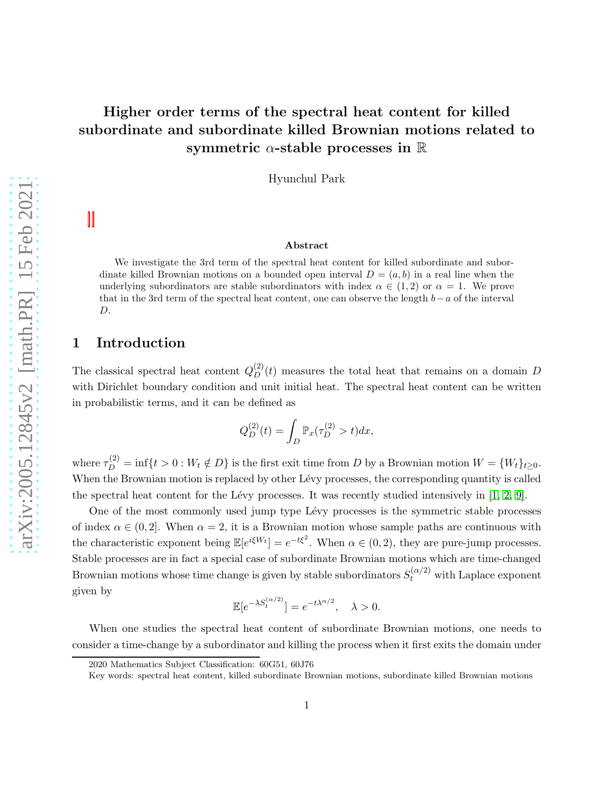# Higher order terms of the spectral heat content for killed subordinate and subordinate killed Brownian motions related to symmetric  $\alpha$ -stable processes in  $\mathbb R$

Hyunchul Park

#### Abstract

We investigate the 3rd term of the spectral heat content for killed subordinate and subordinate killed Brownian motions on a bounded open interval  $D = (a, b)$  in a real line when the underlying subordinators are stable subordinators with index  $\alpha \in (1,2)$  or  $\alpha = 1$ . We prove that in the 3rd term of the spectral heat content, one can observe the length  $b-a$  of the interval D.

# 1 Introduction

The classical spectral heat content  $Q_D^{(2)}(t)$  measures the total heat that remains on a domain D with Dirichlet boundary condition and unit initial heat. The spectral heat content can be written in probabilistic terms, and it can be defined as

$$
Q_D^{(2)}(t) = \int_D \mathbb{P}_x(\tau_D^{(2)} > t) dx,
$$

where  $\tau_D^{(2)} = \inf\{t > 0 : W_t \notin D\}$  is the first exit time from D by a Brownian motion  $W = \{W_t\}_{t \geq 0}$ . When the Brownian motion is replaced by other Lévy processes, the corresponding quantity is called the spectral heat content for the Lévy processes. It was recently studied intensively in  $[1, 2, 9]$  $[1, 2, 9]$  $[1, 2, 9]$ .

One of the most commonly used jump type Lévy processes is the symmetric stable processes of index  $\alpha \in (0, 2]$ . When  $\alpha = 2$ , it is a Brownian motion whose sample paths are continuous with the characteristic exponent being  $\mathbb{E}[e^{i\xi W_t}] = e^{-t\xi^2}$ . When  $\alpha \in (0, 2)$ , they are pure-jump processes. Stable processes are in fact a special case of subordinate Brownian motions which are time-changed Brownian motions whose time change is given by stable subordinators  $S_t^{(\alpha/2)}$  with Laplace exponent given by

$$
\mathbb{E}[e^{-\lambda S_t^{(\alpha/2)}}] = e^{-t\lambda^{\alpha/2}}, \quad \lambda > 0.
$$

When one studies the spectral heat content of subordinate Brownian motions, one needs to consider a time-change by a subordinator and killing the process when it first exits the domain under

<sup>2020</sup> Mathematics Subject Classification: 60G51, 60J76

Key words: spectral heat content, killed subordinate Brownian motions, subordinate killed Brownian motions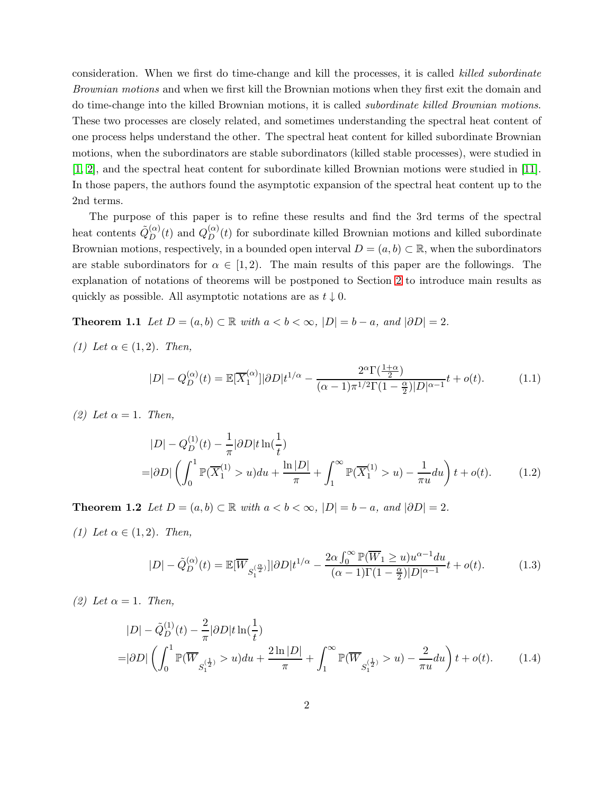consideration. When we first do time-change and kill the processes, it is called killed subordinate Brownian motions and when we first kill the Brownian motions when they first exit the domain and do time-change into the killed Brownian motions, it is called subordinate killed Brownian motions. These two processes are closely related, and sometimes understanding the spectral heat content of one process helps understand the other. The spectral heat content for killed subordinate Brownian motions, when the subordinators are stable subordinators (killed stable processes), were studied in [\[1,](#page-19-0) [2\]](#page-19-1), and the spectral heat content for subordinate killed Brownian motions were studied in [\[11\]](#page-20-0). In those papers, the authors found the asymptotic expansion of the spectral heat content up to the 2nd terms.

The purpose of this paper is to refine these results and find the 3rd terms of the spectral heat contents  $\tilde{Q}_{D}^{(\alpha)}(t)$  and  $Q_{D}^{(\alpha)}(t)$  for subordinate killed Brownian motions and killed subordinate Brownian motions, respectively, in a bounded open interval  $D = (a, b) \subset \mathbb{R}$ , when the subordinators are stable subordinators for  $\alpha \in [1, 2)$ . The main results of this paper are the followings. The explanation of notations of theorems will be postponed to Section [2](#page-3-0) to introduce main results as quickly as possible. All asymptotic notations are as  $t \downarrow 0$ .

**Theorem 1.1** Let  $D = (a, b) \subset \mathbb{R}$  with  $a < b < \infty$ ,  $|D| = b - a$ , and  $|\partial D| = 2$ .

(1) Let  $\alpha \in (1,2)$ . Then,

<span id="page-1-2"></span><span id="page-1-0"></span>
$$
|D| - Q_D^{(\alpha)}(t) = \mathbb{E}[\overline{X}_1^{(\alpha)}] |\partial D| t^{1/\alpha} - \frac{2^{\alpha} \Gamma(\frac{1+\alpha}{2})}{(\alpha - 1)\pi^{1/2} \Gamma(1 - \frac{\alpha}{2}) |D|^{\alpha - 1}} t + o(t).
$$
 (1.1)

(2) Let  $\alpha = 1$ . Then,

<span id="page-1-3"></span>
$$
|D| - Q_D^{(1)}(t) - \frac{1}{\pi} |\partial D| t \ln(\frac{1}{t})
$$
  
=  $|\partial D| \left( \int_0^1 \mathbb{P}(\overline{X}_1^{(1)} > u) du + \frac{\ln |D|}{\pi} + \int_1^\infty \mathbb{P}(\overline{X}_1^{(1)} > u) - \frac{1}{\pi u} du \right) t + o(t).$  (1.2)

<span id="page-1-1"></span>**Theorem 1.2** Let  $D = (a, b) \subset \mathbb{R}$  with  $a < b < \infty$ ,  $|D| = b - a$ , and  $|\partial D| = 2$ . (1) Let  $\alpha \in (1,2)$ . Then,

<span id="page-1-5"></span><span id="page-1-4"></span>
$$
|D| - \tilde{Q}_D^{(\alpha)}(t) = \mathbb{E}[\overline{W}_{S_1^{(\frac{\alpha}{2})}}]|\partial D|t^{1/\alpha} - \frac{2\alpha \int_0^\infty \mathbb{P}(\overline{W}_1 \ge u)u^{\alpha-1}du}{(\alpha-1)\Gamma(1-\frac{\alpha}{2})|D|^{\alpha-1}}t + o(t).
$$
 (1.3)

(2) Let  $\alpha = 1$ . Then,

$$
|D| - \tilde{Q}_{D}^{(1)}(t) - \frac{2}{\pi} |\partial D| t \ln(\frac{1}{t})
$$
  
=  $|\partial D| \left( \int_{0}^{1} \mathbb{P}(\overline{W}_{S_{1}^{(\frac{1}{2})}}) \times u du + \frac{2 \ln |D|}{\pi} + \int_{1}^{\infty} \mathbb{P}(\overline{W}_{S_{1}^{(\frac{1}{2})}}) \times u du - \frac{2}{\pi u} du \right) t + o(t).$  (1.4)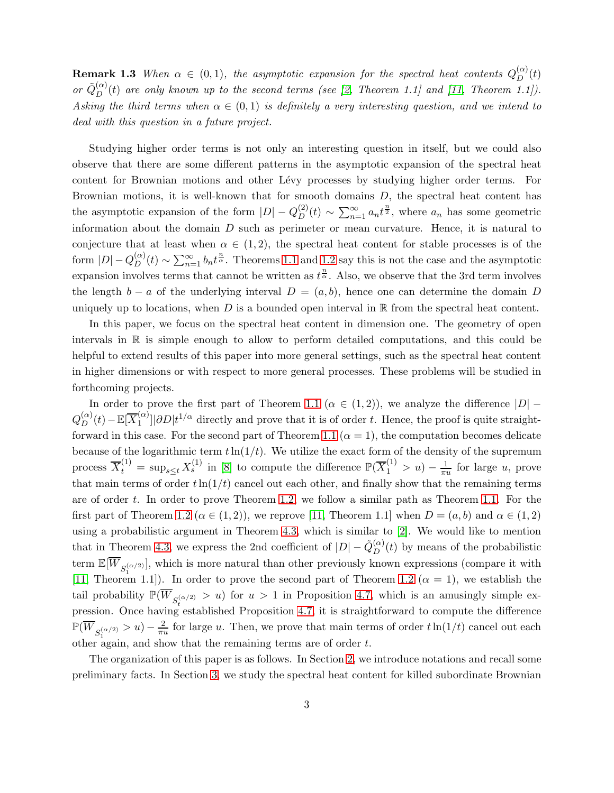**Remark 1.3** When  $\alpha \in (0,1)$ , the asymptotic expansion for the spectral heat contents  $Q_D^{(\alpha)}$  $D^{(\alpha)}(t)$ or  $\tilde{Q}_{D}^{(\alpha)}(t)$  are only known up to the second terms (see [\[2,](#page-19-1) Theorem 1.1] and [\[11,](#page-20-0) Theorem 1.1]). Asking the third terms when  $\alpha \in (0,1)$  is definitely a very interesting question, and we intend to deal with this question in a future project.

Studying higher order terms is not only an interesting question in itself, but we could also observe that there are some different patterns in the asymptotic expansion of the spectral heat content for Brownian motions and other Lévy processes by studying higher order terms. For Brownian motions, it is well-known that for smooth domains D, the spectral heat content has the asymptotic expansion of the form  $|D| - Q_D^{(2)}$  $\sum_{n=1}^{(2)}(t) \sim \sum_{n=1}^{\infty} a_n t^{\frac{n}{2}}$ , where  $a_n$  has some geometric information about the domain  $D$  such as perimeter or mean curvature. Hence, it is natural to conjecture that at least when  $\alpha \in (1,2)$ , the spectral heat content for stable processes is of the form  $|D|-Q_D^{(\alpha)}$  $\sum_{n=1}^{(\alpha)}(t) \sim \sum_{n=1}^{\infty} b_n t^{\frac{n}{\alpha}}$ . Theorems [1.1](#page-1-0) and [1.2](#page-1-1) say this is not the case and the asymptotic expansion involves terms that cannot be written as  $t^{\frac{n}{\alpha}}$ . Also, we observe that the 3rd term involves the length  $b - a$  of the underlying interval  $D = (a, b)$ , hence one can determine the domain D uniquely up to locations, when  $D$  is a bounded open interval in  $\mathbb R$  from the spectral heat content.

In this paper, we focus on the spectral heat content in dimension one. The geometry of open intervals in  $\mathbb R$  is simple enough to allow to perform detailed computations, and this could be helpful to extend results of this paper into more general settings, such as the spectral heat content in higher dimensions or with respect to more general processes. These problems will be studied in forthcoming projects.

In order to prove the first part of Theorem [1.1](#page-1-0) ( $\alpha \in (1,2)$ ), we analyze the difference  $|D|$  –  $Q_D^{(\alpha)}(t)-\mathbb{E}[\overline{X}_1^{(\alpha)}]$  $\binom{\alpha}{1}$ | $\frac{\partial D}{t^{1/\alpha}}$  directly and prove that it is of order t. Hence, the proof is quite straight-forward in this case. For the second part of Theorem [1.1](#page-1-0) ( $\alpha = 1$ ), the computation becomes delicate because of the logarithmic term  $t\ln(1/t)$ . We utilize the exact form of the density of the supremum process  $\overline{X}_t^{(1)} = \sup_{s \le t} X_s^{(1)}$  in [\[8\]](#page-19-3) to compute the difference  $\mathbb{P}(\overline{X}_1^{(1)} > u) - \frac{1}{\pi u}$  for large u, prove that main terms of order  $t\ln(1/t)$  cancel out each other, and finally show that the remaining terms are of order t. In order to prove Theorem [1.2,](#page-1-1) we follow a similar path as Theorem [1.1.](#page-1-0) For the first part of Theorem [1.2](#page-1-1) ( $\alpha \in (1,2)$ ), we reprove [\[11,](#page-20-0) Theorem 1.1] when  $D = (a, b)$  and  $\alpha \in (1, 2)$ using a probabilistic argument in Theorem [4.3,](#page-14-0) which is similar to [\[2\]](#page-19-1). We would like to mention that in Theorem [4.3,](#page-14-0) we express the 2nd coefficient of  $|D| - \tilde{Q}_{D}^{(\alpha)}$  $D^{(\alpha)}(t)$  by means of the probabilistic term  $\mathbb{E}[\overline{W}_{S_1^{(\alpha/2)}}]$ , which is more natural than other previously known expressions (compare it with [\[11,](#page-20-0) Theorem 1.1]). In order to prove the second part of Theorem [1.2](#page-1-1) ( $\alpha = 1$ ), we establish the tail probability  $\mathbb{P}(\overline{W}_{S_t^{(\alpha/2)}} > u)$  for  $u > 1$  in Proposition [4.7,](#page-17-0) which is an amusingly simple ex-pression. Once having established Proposition [4.7,](#page-17-0) it is straightforward to compute the difference  $\mathbb{P}(\overline{W}_{S_1^{(\alpha/2)}} > u) - \frac{2}{\pi n}$ other again, and show that the remaining terms are of order  $t$ .  $\frac{2}{\pi u}$  for large u. Then, we prove that main terms of order  $t \ln(1/t)$  cancel out each

The organization of this paper is as follows. In Section [2,](#page-3-0) we introduce notations and recall some preliminary facts. In Section [3,](#page-6-0) we study the spectral heat content for killed subordinate Brownian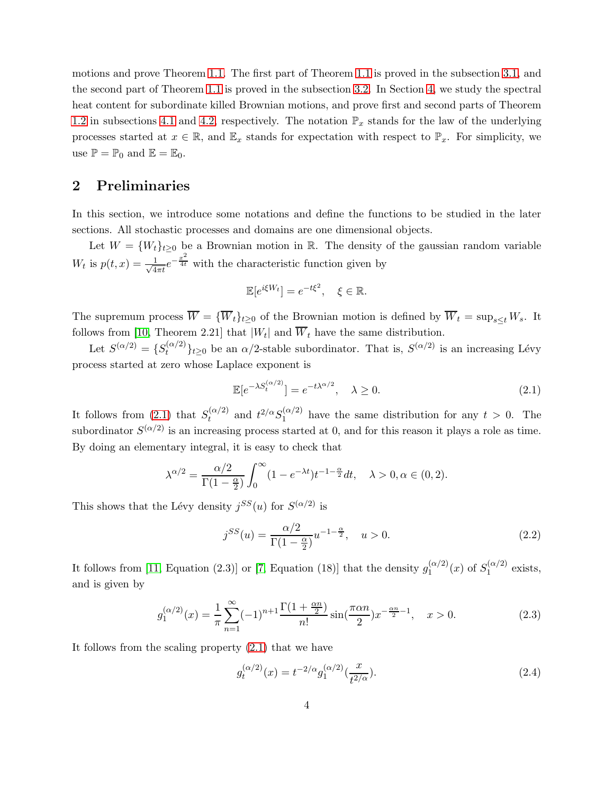motions and prove Theorem [1.1.](#page-1-0) The first part of Theorem [1.1](#page-1-0) is proved in the subsection [3.1,](#page-6-1) and the second part of Theorem [1.1](#page-1-0) is proved in the subsection [3.2.](#page-9-0) In Section [4,](#page-11-0) we study the spectral heat content for subordinate killed Brownian motions, and prove first and second parts of Theorem [1.2](#page-1-1) in subsections [4.1](#page-11-1) and [4.2,](#page-17-1) respectively. The notation  $\mathbb{P}_x$  stands for the law of the underlying processes started at  $x \in \mathbb{R}$ , and  $\mathbb{E}_x$  stands for expectation with respect to  $\mathbb{P}_x$ . For simplicity, we use  $\mathbb{P} = \mathbb{P}_0$  and  $\mathbb{E} = \mathbb{E}_0$ .

## <span id="page-3-0"></span>2 Preliminaries

In this section, we introduce some notations and define the functions to be studied in the later sections. All stochastic processes and domains are one dimensional objects.

Let  $W = \{W_t\}_{t>0}$  be a Brownian motion in R. The density of the gaussian random variable  $W_t$  is  $p(t, x) = \frac{1}{\sqrt{4}}$  $\frac{1}{4\pi t}e^{-\frac{x^2}{4t}}$  with the characteristic function given by

$$
\mathbb{E}[e^{i\xi W_t}] = e^{-t\xi^2}, \quad \xi \in \mathbb{R}.
$$

The supremum process  $\overline{W} = {\overline{W}_t}_{t\geq0}$  of the Brownian motion is defined by  $\overline{W}_t = \sup_{s\leq t} W_s$ . It follows from [10, Theorem 2.21] that  $|W_t|$  and  $W_t$  have the same distribution.

Let  $S^{(\alpha/2)} = \{S_t^{(\alpha/2)}\}$  $\{t^{(\alpha/2)}\}_{t\geq 0}$  be an  $\alpha/2$ -stable subordinator. That is,  $S^{(\alpha/2)}$  is an increasing Lévy process started at zero whose Laplace exponent is

<span id="page-3-1"></span>
$$
\mathbb{E}[e^{-\lambda S_t^{(\alpha/2)}}] = e^{-t\lambda^{\alpha/2}}, \quad \lambda \ge 0.
$$
\n(2.1)

It follows from [\(2.1\)](#page-3-1) that  $S_t^{(\alpha/2)}$  $t_t^{(\alpha/2)}$  and  $t^{2/\alpha}S_1^{(\alpha/2)}$  $_1^{(\alpha/2)}$  have the same distribution for any  $t > 0$ . The subordinator  $S^{(\alpha/2)}$  is an increasing process started at 0, and for this reason it plays a role as time. By doing an elementary integral, it is easy to check that

$$
\lambda^{\alpha/2} = \frac{\alpha/2}{\Gamma(1-\frac{\alpha}{2})} \int_0^\infty (1 - e^{-\lambda t}) t^{-1-\frac{\alpha}{2}} dt, \quad \lambda > 0, \alpha \in (0, 2).
$$

This shows that the Lévy density  $j^{SS}(u)$  for  $S^{(\alpha/2)}$  is

<span id="page-3-2"></span>
$$
j^{SS}(u) = \frac{\alpha/2}{\Gamma(1 - \frac{\alpha}{2})} u^{-1 - \frac{\alpha}{2}}, \quad u > 0.
$$
 (2.2)

It follows from [\[11,](#page-20-0) Equation (2.3)] or [\[7,](#page-19-4) Equation (18)] that the density  $g_1^{(\alpha/2)}$  $j_1^{(\alpha/2)}(x)$  of  $S_1^{(\alpha/2)}$  $1^{(\alpha/2)}$  exists, and is given by

<span id="page-3-4"></span>
$$
g_1^{(\alpha/2)}(x) = \frac{1}{\pi} \sum_{n=1}^{\infty} (-1)^{n+1} \frac{\Gamma(1 + \frac{\alpha n}{2})}{n!} \sin(\frac{\pi \alpha n}{2}) x^{-\frac{\alpha n}{2} - 1}, \quad x > 0.
$$
 (2.3)

It follows from the scaling property [\(2.1\)](#page-3-1) that we have

<span id="page-3-3"></span>
$$
g_t^{(\alpha/2)}(x) = t^{-2/\alpha} g_1^{(\alpha/2)}(\frac{x}{t^{2/\alpha}}).
$$
\n(2.4)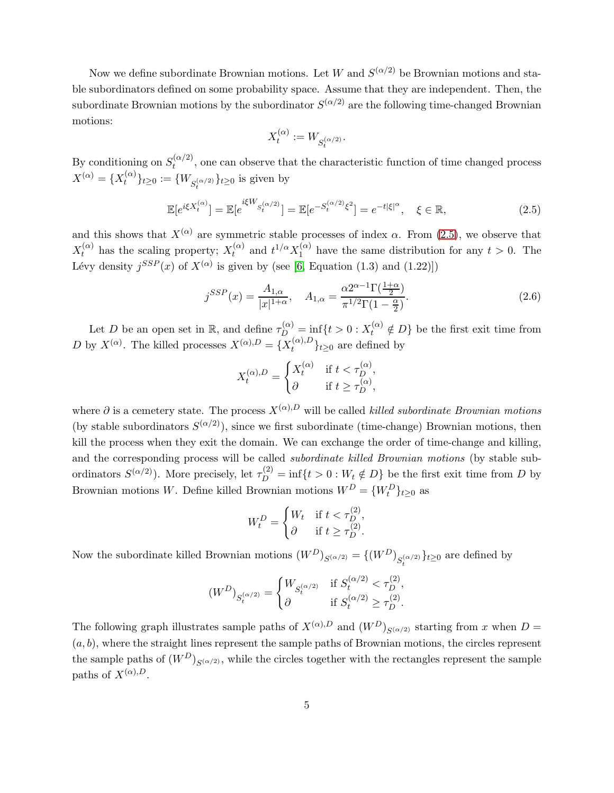Now we define subordinate Brownian motions. Let W and  $S^{(\alpha/2)}$  be Brownian motions and stable subordinators defined on some probability space. Assume that they are independent. Then, the subordinate Brownian motions by the subordinator  $S^{(\alpha/2)}$  are the following time-changed Brownian motions:

$$
X^{(\alpha)}_t:=W_{S^{(\alpha/2)}_t}
$$

By conditioning on  $S_t^{(\alpha/2)}$  $t_t^{(\alpha/2)}$ , one can observe that the characteristic function of time changed process  $X^{(\alpha)} = \{X_t^{(\alpha)}\}$  ${t^{(k)}}_{t}$ <sub> $t \geq 0$ </sub> :=  ${W_{S_t^{(\alpha/2)}}}_{t \geq 0}$  is given by

<span id="page-4-0"></span>
$$
\mathbb{E}[e^{i\xi X_t^{(\alpha)}}] = \mathbb{E}[e^{i\xi W_{S_t^{(\alpha/2)}}}] = \mathbb{E}[e^{-S_t^{(\alpha/2)}\xi^2}] = e^{-t|\xi|^\alpha}, \quad \xi \in \mathbb{R},
$$
\n(2.5)

.

and this shows that  $X^{(\alpha)}$  are symmetric stable processes of index  $\alpha$ . From [\(2.5\)](#page-4-0), we observe that  $X_t^{(\alpha)}$  has the scaling property;  $X_t^{(\alpha)}$  $t^{(\alpha)}$  and  $t^{1/\alpha}X_1^{(\alpha)}$  $_1^{(\alpha)}$  have the same distribution for any  $t > 0$ . The Lévy density  $j^{SSP}(x)$  of  $X^{(\alpha)}$  is given by (see [6, Equation (1.3) and (1.22)])

<span id="page-4-1"></span>
$$
j^{SSP}(x) = \frac{A_{1,\alpha}}{|x|^{1+\alpha}}, \quad A_{1,\alpha} = \frac{\alpha 2^{\alpha-1} \Gamma(\frac{1+\alpha}{2})}{\pi^{1/2} \Gamma(1-\frac{\alpha}{2})}.
$$
 (2.6)

Let D be an open set in  $\mathbb{R}$ , and define  $\tau_D^{(\alpha)} = \inf\{t > 0 : X_t^{(\alpha)} \notin D\}$  be the first exit time from D by  $X^{(\alpha)}$ . The killed processes  $X^{(\alpha),D} = \{X_t^{(\alpha),D}$  $\{t^{(\alpha),D}\}_{t\geq 0}$  are defined by

$$
X_t^{(\alpha),D} = \begin{cases} X_t^{(\alpha)} & \text{if } t < \tau_D^{(\alpha)}, \\ \partial & \text{if } t \geq \tau_D^{(\alpha)}, \end{cases}
$$

where  $\partial$  is a cemetery state. The process  $X^{(\alpha),D}$  will be called *killed subordinate Brownian motions* (by stable subordinators  $S^{(\alpha/2)}$ ), since we first subordinate (time-change) Brownian motions, then kill the process when they exit the domain. We can exchange the order of time-change and killing, and the corresponding process will be called subordinate killed Brownian motions (by stable subordinators  $S^{(\alpha/2)}$ ). More precisely, let  $\tau_D^{(2)} = \inf\{t > 0 : W_t \notin D\}$  be the first exit time from D by Brownian motions W. Define killed Brownian motions  $W^D = \{W_t^D\}_{t \geq 0}$  as

$$
W_t^D = \begin{cases} W_t & \text{if } t < \tau_D^{(2)}, \\ \partial & \text{if } t \ge \tau_D^{(2)}. \end{cases}
$$

Now the subordinate killed Brownian motions  $(W^D)_{S^{(\alpha/2)}} = \{(W^D)_{S^{(\alpha/2)}}\}_{t\geq 0}$  are defined by

$$
(W^D)_{S^{(\alpha/2)}_t} = \begin{cases} W_{S^{(\alpha/2)}_t} & \text{if } S^{(\alpha/2)}_t < \tau_D^{(2)}, \\ \partial & \text{if } S^{(\alpha/2)}_t \geq \tau_D^{(2)}. \end{cases}
$$

The following graph illustrates sample paths of  $X^{(\alpha),D}$  and  $(W^{D})_{S^{(\alpha/2)}}$  starting from x when  $D =$  $(a, b)$ , where the straight lines represent the sample paths of Brownian motions, the circles represent the sample paths of  $(W^D)_{S(\alpha/2)}$ , while the circles together with the rectangles represent the sample paths of  $X^{(\alpha),D}$ .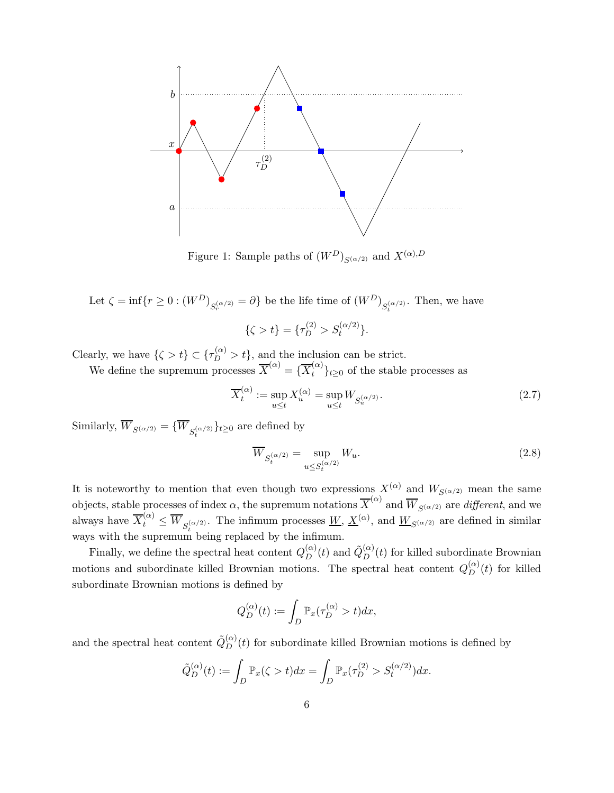

Figure 1: Sample paths of  $(W^D)_{S(\alpha/2)}$  and  $X^{(\alpha),D}$ 

Let 
$$
\zeta = \inf\{r \ge 0 : (W^D)_{S_r^{(\alpha/2)}} = \partial\}
$$
 be the life time of  $(W^D)_{S_t^{(\alpha/2)}}$ . Then, we have

$$
\{\zeta > t\} = \{\tau_D^{(2)} > S_t^{(\alpha/2)}\}.
$$

Clearly, we have  $\{\zeta > t\} \subset \{\tau_D^{(\alpha)} > t\}$ , and the inclusion can be strict.

We define the supremum processes  $\overline{X}^{(\alpha)} = {\overline{X}^{(\alpha)}_t}_{t\geq 0}$  of the stable processes as

$$
\overline{X}_t^{(\alpha)} := \sup_{u \le t} X_u^{(\alpha)} = \sup_{u \le t} W_{S_u^{(\alpha/2)}}.
$$
\n(2.7)

Similarly,  $W_{S^{(\alpha/2)}} = \{W_{S_t^{(\alpha/2)}}\}_{t \geq 0}$  are defined by

$$
\overline{W}_{S_t^{(\alpha/2)}} = \sup_{u \le S_t^{(\alpha/2)}} W_u.
$$
\n(2.8)

It is noteworthy to mention that even though two expressions  $X^{(\alpha)}$  and  $W_{S^{(\alpha/2)}}$  mean the same objects, stable processes of index  $\alpha$ , the supremum notations  $\overline{X}^{(\alpha)}$  and  $\overline{W}_{S^{(\alpha/2)}}$  are *different*, and we always have  $\overline{X}_t^{(\alpha)} \leq \overline{W}_{S_t^{(\alpha/2)}}$ . The infimum processes  $\underline{W}, \underline{X}^{(\alpha)}$ , and  $\underline{W}_{S^{(\alpha/2)}}$  are defined in similar ways with the supremum being replaced by the infimum.

Finally, we define the spectral heat content  $Q_D^{(\alpha)}$  $\tilde{Q}_{D}^{(\alpha)}(t)$  and  $\tilde{Q}_{D}^{(\alpha)}$  $D^{(\alpha)}(t)$  for killed subordinate Brownian motions and subordinate killed Brownian motions. The spectral heat content  $Q_D^{(\alpha)}(t)$  for killed subordinate Brownian motions is defined by

$$
Q_D^{(\alpha)}(t) := \int_D \mathbb{P}_x(\tau_D^{(\alpha)} > t) dx,
$$

and the spectral heat content  $\tilde{Q}^{(\alpha)}_D$  $D_D^{(\alpha)}(t)$  for subordinate killed Brownian motions is defined by

$$
\tilde{Q}_D^{(\alpha)}(t) := \int_D \mathbb{P}_x(\zeta > t) dx = \int_D \mathbb{P}_x(\tau_D^{(2)} > S_t^{(\alpha/2)}) dx.
$$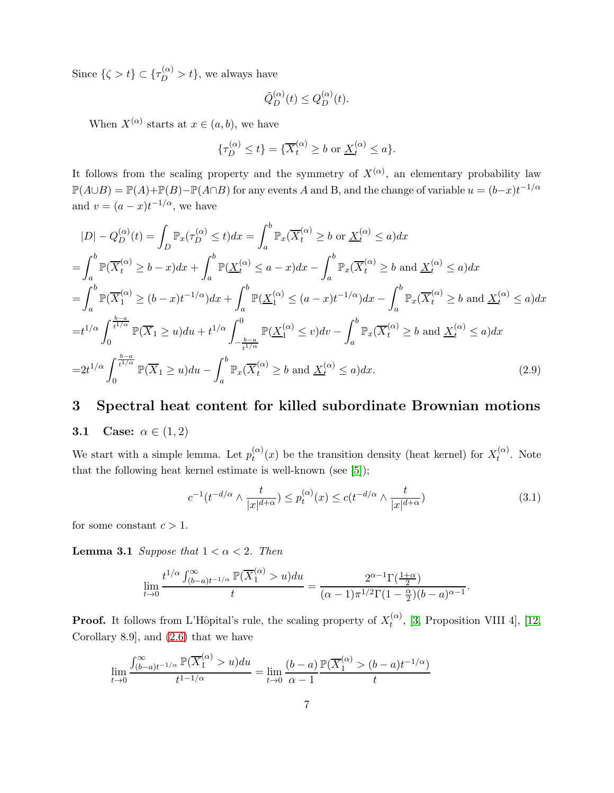Since  $\{\zeta > t\} \subset \{\tau_D^{(\alpha)} > t\}$ , we always have

$$
\tilde{Q}_D^{(\alpha)}(t) \le Q_D^{(\alpha)}(t).
$$

When  $X^{(\alpha)}$  starts at  $x \in (a, b)$ , we have

$$
\{\tau_D^{(\alpha)} \le t\} = \{\overline{X}_t^{(\alpha)} \ge b \text{ or } \underline{X}_t^{(\alpha)} \le a\}.
$$

It follows from the scaling property and the symmetry of  $X^{(\alpha)}$ , an elementary probability law  $\mathbb{P}(A\cup B) = \mathbb{P}(A) + \mathbb{P}(B) - \mathbb{P}(A\cap B)$  for any events A and B, and the change of variable  $u = (b-x)t^{-1/\alpha}$ and  $v = (a - x)t^{-1/\alpha}$ , we have

$$
|D| - Q_D^{(\alpha)}(t) = \int_D \mathbb{P}_x(\tau_D^{(\alpha)} \le t) dx = \int_a^b \mathbb{P}_x(\overline{X}_t^{(\alpha)} \ge b \text{ or } \underline{X}_t^{(\alpha)} \le a) dx
$$
  
\n
$$
= \int_a^b \mathbb{P}(\overline{X}_t^{(\alpha)} \ge b - x) dx + \int_a^b \mathbb{P}(\underline{X}_t^{(\alpha)} \le a - x) dx - \int_a^b \mathbb{P}_x(\overline{X}_t^{(\alpha)} \ge b \text{ and } \underline{X}_t^{(\alpha)} \le a) dx
$$
  
\n
$$
= \int_a^b \mathbb{P}(\overline{X}_1^{(\alpha)} \ge (b - x)t^{-1/\alpha}) dx + \int_a^b \mathbb{P}(\underline{X}_1^{(\alpha)} \le (a - x)t^{-1/\alpha}) dx - \int_a^b \mathbb{P}_x(\overline{X}_t^{(\alpha)} \ge b \text{ and } \underline{X}_t^{(\alpha)} \le a) dx
$$
  
\n
$$
= t^{1/\alpha} \int_0^{\frac{b-a}{t^{1/\alpha}}} \mathbb{P}(\overline{X}_1 \ge u) du + t^{1/\alpha} \int_{-\frac{b-a}{t^{1/\alpha}}}^0 \mathbb{P}(\underline{X}_1^{(\alpha)} \le v) dv - \int_a^b \mathbb{P}_x(\overline{X}_t^{(\alpha)} \ge b \text{ and } \underline{X}_t^{(\alpha)} \le a) dx
$$
  
\n
$$
= 2t^{1/\alpha} \int_0^{\frac{b-a}{t^{1/\alpha}}} \mathbb{P}(\overline{X}_1 \ge u) du - \int_a^b \mathbb{P}_x(\overline{X}_t^{(\alpha)} \ge b \text{ and } \underline{X}_t^{(\alpha)} \le a) dx.
$$
 (2.9)

# <span id="page-6-1"></span><span id="page-6-0"></span>3 Spectral heat content for killed subordinate Brownian motions

### 3.1 Case:  $\alpha \in (1,2)$

We start with a simple lemma. Let  $p_t^{(\alpha)}$  $t^{(\alpha)}_t(x)$  be the transition density (heat kernel) for  $X_t^{(\alpha)}$  $t^{(\alpha)}$ . Note that the following heat kernel estimate is well-known (see [\[5\]](#page-19-5));

<span id="page-6-3"></span><span id="page-6-2"></span>
$$
c^{-1}(t^{-d/\alpha} \wedge \frac{t}{|x|^{d+\alpha}}) \le p_t^{(\alpha)}(x) \le c(t^{-d/\alpha} \wedge \frac{t}{|x|^{d+\alpha}})
$$
\n(3.1)

<span id="page-6-4"></span>for some constant  $c > 1$ .

**Lemma 3.1** Suppose that  $1 < \alpha < 2$ . Then

 $\lambda$ 

$$
\lim_{t\to 0}\frac{t^{1/\alpha}\int_{(b-a)t^{-1/\alpha}}^{\infty}\mathbb{P}(\overline{X}_1^{(\alpha)}>u)du}{t}=\frac{2^{\alpha-1}\Gamma(\frac{1+\alpha}{2})}{(\alpha-1)\pi^{1/2}\Gamma(1-\frac{\alpha}{2})(b-a)^{\alpha-1}}.
$$

**Proof.** It follows from L'Hôpital's rule, the scaling property of  $X_t^{(\alpha)}$  $t^{(\alpha)}$ , [\[3,](#page-19-6) Proposition VIII 4], [\[12,](#page-20-1) Corollary 8.9], and [\(2.6\)](#page-4-1) that we have

$$
\lim_{t \to 0} \frac{\int_{(b-a)t^{-1/\alpha}}^{\infty} \mathbb{P}(\overline{X}_1^{(\alpha)} > u) du}{t^{1-1/\alpha}} = \lim_{t \to 0} \frac{(b-a)}{\alpha - 1} \frac{\mathbb{P}(\overline{X}_1^{(\alpha)} > (b-a)t^{-1/\alpha})}{t}
$$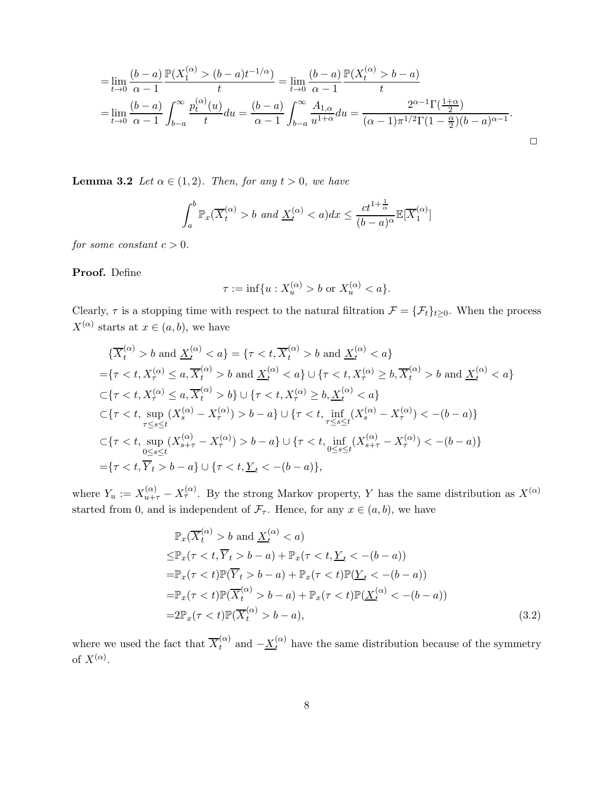$$
= \lim_{t \to 0} \frac{(b-a)}{\alpha - 1} \frac{\mathbb{P}(X_1^{(\alpha)} > (b-a)t^{-1/\alpha})}{t} = \lim_{t \to 0} \frac{(b-a)}{\alpha - 1} \frac{\mathbb{P}(X_t^{(\alpha)} > b-a)}{t}
$$

$$
= \lim_{t \to 0} \frac{(b-a)}{\alpha - 1} \int_{b-a}^{\infty} \frac{p_t^{(\alpha)}(u)}{t} du = \frac{(b-a)}{\alpha - 1} \int_{b-a}^{\infty} \frac{A_{1,\alpha}}{u^{1+\alpha}} du = \frac{2^{\alpha - 1} \Gamma(\frac{1+\alpha}{2})}{(\alpha - 1)\pi^{1/2} \Gamma(1 - \frac{\alpha}{2})(b-a)^{\alpha - 1}}.
$$

 $\Box$ 

<span id="page-7-1"></span>**Lemma 3.2** Let  $\alpha \in (1, 2)$ . Then, for any  $t > 0$ , we have

$$
\int_{a}^{b} \mathbb{P}_{x}(\overline{X}_{t}^{(\alpha)} > b \text{ and } \underline{X}_{t}^{(\alpha)} < a) dx \leq \frac{ct^{1+\frac{1}{\alpha}}}{(b-a)^{\alpha}} \mathbb{E}[\overline{X}_{1}^{(\alpha)}]
$$

for some constant  $c > 0$ .

Proof. Define

$$
\tau := \inf\{u : X_u^{(\alpha)} > b \text{ or } X_u^{(\alpha)} < a\}.
$$

Clearly,  $\tau$  is a stopping time with respect to the natural filtration  $\mathcal{F} = {\{\mathcal{F}_t\}}_{t\geq 0}$ . When the process  $X^{(\alpha)}$  starts at  $x \in (a, b)$ , we have

$$
\{\overline{X}_{t}^{(\alpha)} > b \text{ and } \underline{X}_{t}^{(\alpha)} < a\} = \{\tau < t, \overline{X}_{t}^{(\alpha)} > b \text{ and } \underline{X}_{t}^{(\alpha)} < a\}
$$
  
\n
$$
= \{\tau < t, X_{\tau}^{(\alpha)} \le a, \overline{X}_{t}^{(\alpha)} > b \text{ and } \underline{X}_{t}^{(\alpha)} < a\} \cup \{\tau < t, X_{\tau}^{(\alpha)} \ge b, \overline{X}_{t}^{(\alpha)} > b \text{ and } \underline{X}_{t}^{(\alpha)} < a\}
$$
  
\n
$$
\subset \{\tau < t, X_{\tau}^{(\alpha)} \le a, \overline{X}_{t}^{(\alpha)} > b\} \cup \{\tau < t, X_{\tau}^{(\alpha)} \ge b, \underline{X}_{t}^{(\alpha)} < a\}
$$
  
\n
$$
\subset \{\tau < t, \sup_{\tau \le s \le t} (X_{s}^{(\alpha)} - X_{\tau}^{(\alpha)}) > b - a\} \cup \{\tau < t, \inf_{\tau \le s \le t} (X_{s}^{(\alpha)} - X_{\tau}^{(\alpha)}) < -(b - a)\}
$$
  
\n
$$
\subset \{\tau < t, \sup_{0 \le s \le t} (X_{s+\tau}^{(\alpha)} - X_{\tau}^{(\alpha)}) > b - a\} \cup \{\tau < t, \inf_{0 \le s \le t} (X_{s+\tau}^{(\alpha)} - X_{\tau}^{(\alpha)}) < -(b - a)\}
$$
  
\n
$$
= \{\tau < t, \overline{Y}_{t} > b - a\} \cup \{\tau < t, \underline{Y}_{t} < -(b - a)\},
$$

where  $Y_u := X_{u+\tau}^{(\alpha)} - X_{\tau}^{(\alpha)}$ . By the strong Markov property, Y has the same distribution as  $X^{(\alpha)}$ started from 0, and is independent of  $\mathcal{F}_{\tau}$ . Hence, for any  $x \in (a, b)$ , we have

<span id="page-7-0"></span>
$$
\mathbb{P}_x(\overline{X}_t^{(\alpha)} > b \text{ and } \underline{X}_t^{(\alpha)} < a)
$$
\n
$$
\leq \mathbb{P}_x(\tau < t, \overline{Y}_t > b - a) + \mathbb{P}_x(\tau < t, \underline{Y}_t < -(b - a))
$$
\n
$$
= \mathbb{P}_x(\tau < t) \mathbb{P}(\overline{Y}_t > b - a) + \mathbb{P}_x(\tau < t) \mathbb{P}(\underline{Y}_t < -(b - a))
$$
\n
$$
= \mathbb{P}_x(\tau < t) \mathbb{P}(\overline{X}_t^{(\alpha)} > b - a) + \mathbb{P}_x(\tau < t) \mathbb{P}(\underline{X}_t^{(\alpha)} < -(b - a))
$$
\n
$$
= 2 \mathbb{P}_x(\tau < t) \mathbb{P}(\overline{X}_t^{(\alpha)} > b - a), \tag{3.2}
$$

where we used the fact that  $\overline{X}_t^{(\alpha)}$  $t_t^{(\alpha)}$  and  $-\underline{X}_t^{(\alpha)}$  have the same distribution because of the symmetry of  $X^{(\alpha)}$ .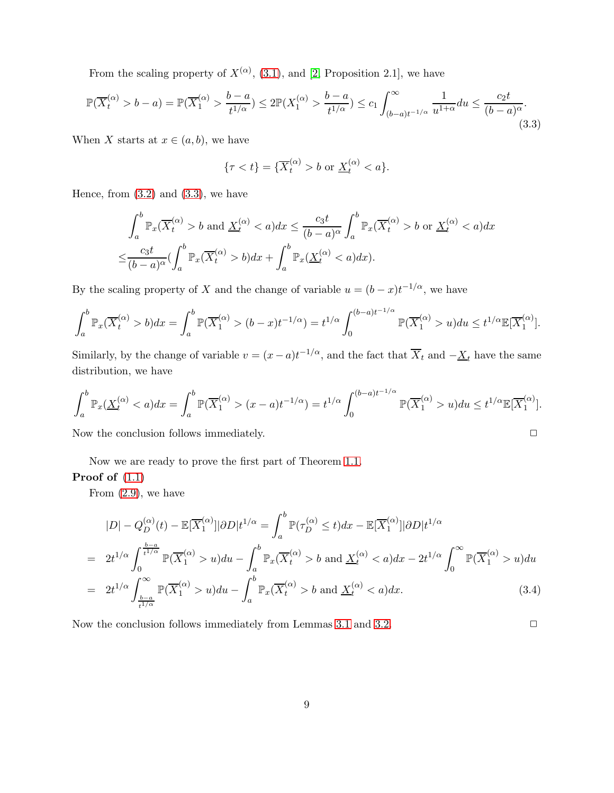From the scaling property of  $X^{(\alpha)}$ , [\(3.1\)](#page-6-2), and [\[2,](#page-19-1) Proposition 2.1], we have

<span id="page-8-0"></span>
$$
\mathbb{P}(\overline{X}_t^{(\alpha)} > b - a) = \mathbb{P}(\overline{X}_1^{(\alpha)} > \frac{b - a}{t^{1/\alpha}}) \le 2\mathbb{P}(X_1^{(\alpha)} > \frac{b - a}{t^{1/\alpha}}) \le c_1 \int_{(b-a)t^{-1/\alpha}}^{\infty} \frac{1}{u^{1+\alpha}} du \le \frac{c_2 t}{(b-a)^\alpha}.
$$
\n(3.3)

When X starts at  $x \in (a, b)$ , we have

$$
\{\tau < t\} = \{\overline{X}_t^{(\alpha)} > b \text{ or } \underline{X}_t^{(\alpha)} < a\}.
$$

Hence, from  $(3.2)$  and  $(3.3)$ , we have

$$
\int_{a}^{b} \mathbb{P}_{x}(\overline{X}_{t}^{(\alpha)} > b \text{ and } \underline{X}_{t}^{(\alpha)} < a) dx \leq \frac{c_{3}t}{(b-a)^{\alpha}} \int_{a}^{b} \mathbb{P}_{x}(\overline{X}_{t}^{(\alpha)} > b \text{ or } \underline{X}_{t}^{(\alpha)} < a) dx
$$

$$
\leq \frac{c_{3}t}{(b-a)^{\alpha}} \left( \int_{a}^{b} \mathbb{P}_{x}(\overline{X}_{t}^{(\alpha)} > b) dx + \int_{a}^{b} \mathbb{P}_{x}(\underline{X}_{t}^{(\alpha)} < a) dx \right).
$$

By the scaling property of X and the change of variable  $u = (b - x)t^{-1/\alpha}$ , we have

$$
\int_a^b \mathbb{P}_x(\overline{X}_t^{(\alpha)} > b) dx = \int_a^b \mathbb{P}(\overline{X}_1^{(\alpha)} > (b-x)t^{-1/\alpha}) = t^{1/\alpha} \int_0^{(b-a)t^{-1/\alpha}} \mathbb{P}(\overline{X}_1^{(\alpha)} > u) du \le t^{1/\alpha} \mathbb{E}[\overline{X}_1^{(\alpha)}].
$$

Similarly, by the change of variable  $v = (x - a)t^{-1/\alpha}$ , and the fact that  $\overline{X}_t$  and  $-\underline{X}_t$  have the same distribution, we have

$$
\int_{a}^{b} \mathbb{P}_{x}(\underline{X}_{t}^{(\alpha)} < a) dx = \int_{a}^{b} \mathbb{P}(\overline{X}_{1}^{(\alpha)} > (x - a)t^{-1/\alpha}) = t^{1/\alpha} \int_{0}^{(b-a)t^{-1/\alpha}} \mathbb{P}(\overline{X}_{1}^{(\alpha)} > u) du \leq t^{1/\alpha} \mathbb{E}[\overline{X}_{1}^{(\alpha)}].
$$

Now the conclusion follows immediately.  $\Box$ 

Now we are ready to prove the first part of Theorem [1.1.](#page-1-0)

### Proof of [\(1.1\)](#page-1-2)

From  $(2.9)$ , we have

$$
|D| - Q_D^{(\alpha)}(t) - \mathbb{E}[\overline{X}_1^{(\alpha)}]|\partial D|t^{1/\alpha} = \int_a^b \mathbb{P}(\tau_D^{(\alpha)} \le t)dx - \mathbb{E}[\overline{X}_1^{(\alpha)}]|\partial D|t^{1/\alpha}
$$
  
\n
$$
= 2t^{1/\alpha} \int_0^{\frac{b-a}{t^{1/\alpha}}} \mathbb{P}(\overline{X}_1^{(\alpha)} > u)du - \int_a^b \mathbb{P}_x(\overline{X}_t^{(\alpha)} > b \text{ and } \underline{X}_t^{(\alpha)} < a)dx - 2t^{1/\alpha} \int_0^\infty \mathbb{P}(\overline{X}_1^{(\alpha)} > u)du
$$
  
\n
$$
= 2t^{1/\alpha} \int_{\frac{b-a}{t^{1/\alpha}}}^{\infty} \mathbb{P}(\overline{X}_1^{(\alpha)} > u)du - \int_a^b \mathbb{P}_x(\overline{X}_t^{(\alpha)} > b \text{ and } \underline{X}_t^{(\alpha)} < a)dx. \tag{3.4}
$$

Now the conclusion follows immediately from Lemmas [3.1](#page-6-4) and [3.2.](#page-7-1)  $\Box$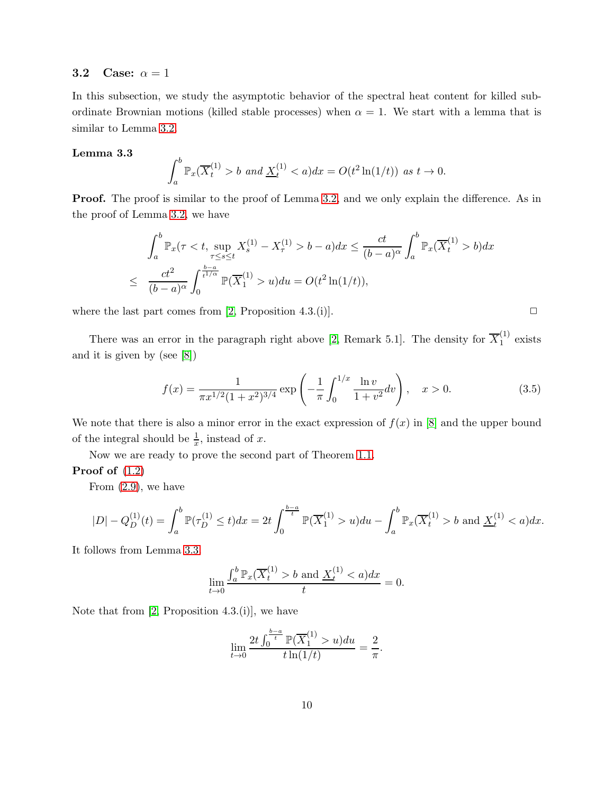### <span id="page-9-0"></span>3.2 Case:  $\alpha = 1$

In this subsection, we study the asymptotic behavior of the spectral heat content for killed subordinate Brownian motions (killed stable processes) when  $\alpha = 1$ . We start with a lemma that is similar to Lemma [3.2.](#page-7-1)

#### Lemma 3.3

<span id="page-9-1"></span>
$$
\int_{a}^{b} \mathbb{P}_{x}(\overline{X}_{t}^{(1)} > b \text{ and } \underline{X}_{t}^{(1)} < a) dx = O(t^{2} \ln(1/t)) \text{ as } t \to 0.
$$

Proof. The proof is similar to the proof of Lemma [3.2,](#page-7-1) and we only explain the difference. As in the proof of Lemma [3.2,](#page-7-1) we have

$$
\int_{a}^{b} \mathbb{P}_{x}(\tau < t, \sup_{\tau \le s \le t} X_{s}^{(1)} - X_{\tau}^{(1)} > b - a) dx \le \frac{ct}{(b - a)^{\alpha}} \int_{a}^{b} \mathbb{P}_{x}(\overline{X}_{t}^{(1)} > b) dx
$$
  

$$
\le \frac{ct^{2}}{(b - a)^{\alpha}} \int_{0}^{\frac{b - a}{t^{1/\alpha}}} \mathbb{P}(\overline{X}_{1}^{(1)} > u) du = O(t^{2} \ln(1/t)),
$$

where the last part comes from [\[2,](#page-19-1) Proposition 4.3.(i)].  $\Box$ 

There was an error in the paragraph right above [\[2,](#page-19-1) Remark 5.1]. The density for  $\overline{X}_1^{(1)}$  $1^{17}$  exists and it is given by (see [\[8\]](#page-19-3))

<span id="page-9-2"></span>
$$
f(x) = \frac{1}{\pi x^{1/2} (1+x^2)^{3/4}} \exp\left(-\frac{1}{\pi} \int_0^{1/x} \frac{\ln v}{1+v^2} dv\right), \quad x > 0.
$$
 (3.5)

We note that there is also a minor error in the exact expression of  $f(x)$  in [\[8\]](#page-19-3) and the upper bound of the integral should be  $\frac{1}{x}$ , instead of x.

Now we are ready to prove the second part of Theorem [1.1.](#page-1-0)

### Proof of [\(1.2\)](#page-1-3)

From  $(2.9)$ , we have

$$
|D| - Q_D^{(1)}(t) = \int_a^b \mathbb{P}(\tau_D^{(1)} \le t) dx = 2t \int_0^{\frac{b-a}{t}} \mathbb{P}(\overline{X}_1^{(1)} > u) du - \int_a^b \mathbb{P}_x(\overline{X}_t^{(1)} > b \text{ and } \underline{X}_t^{(1)} < a) dx.
$$

It follows from Lemma [3.3.](#page-9-1)

$$
\lim_{t \to 0} \frac{\int_a^b \mathbb{P}_x(\overline{X}_t^{(1)} > b \text{ and } \underline{X}_t^{(1)} < a) dx}{t} = 0.
$$

Note that from  $[2,$  Proposition 4.3. $(i)$ , we have

$$
\lim_{t \to 0} \frac{2t \int_0^{\frac{b-a}{t}} \mathbb{P}(\overline{X}_1^{(1)} > u) du}{t \ln(1/t)} = \frac{2}{\pi}.
$$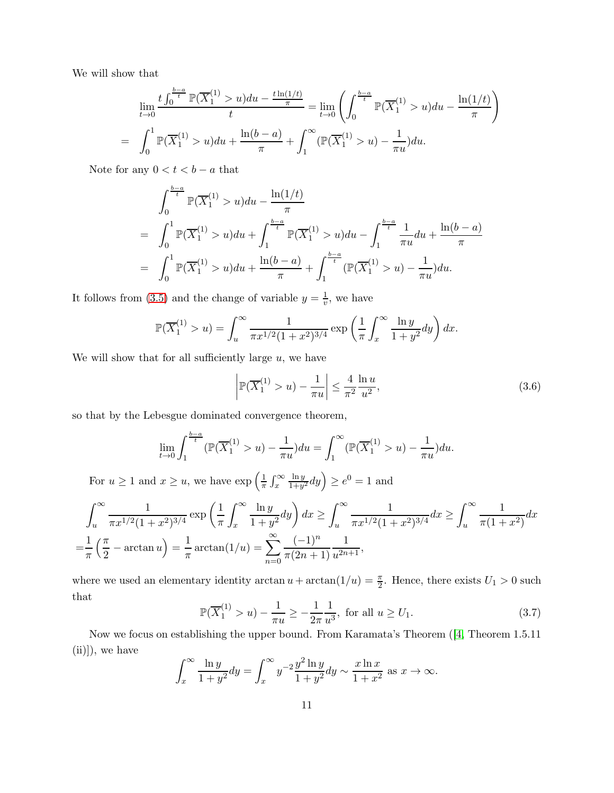We will show that

$$
\lim_{t \to 0} \frac{t \int_0^{\frac{b-a}{t}} \mathbb{P}(\overline{X}_1^{(1)} > u) du - \frac{t \ln(1/t)}{\pi}}{t} = \lim_{t \to 0} \left( \int_0^{\frac{b-a}{t}} \mathbb{P}(\overline{X}_1^{(1)} > u) du - \frac{\ln(1/t)}{\pi} \right)
$$

$$
= \int_0^1 \mathbb{P}(\overline{X}_1^{(1)} > u) du + \frac{\ln(b-a)}{\pi} + \int_1^\infty (\mathbb{P}(\overline{X}_1^{(1)} > u) - \frac{1}{\pi u}) du.
$$

Note for any  $0 < t < b - a$  that

$$
\int_0^{\frac{b-a}{t}} \mathbb{P}(\overline{X}_1^{(1)} > u) du - \frac{\ln(1/t)}{\pi}
$$
\n
$$
= \int_0^1 \mathbb{P}(\overline{X}_1^{(1)} > u) du + \int_1^{\frac{b-a}{t}} \mathbb{P}(\overline{X}_1^{(1)} > u) du - \int_1^{\frac{b-a}{t}} \frac{1}{\pi u} du + \frac{\ln(b-a)}{\pi}
$$
\n
$$
= \int_0^1 \mathbb{P}(\overline{X}_1^{(1)} > u) du + \frac{\ln(b-a)}{\pi} + \int_1^{\frac{b-a}{t}} (\mathbb{P}(\overline{X}_1^{(1)} > u) - \frac{1}{\pi u}) du.
$$

It follows from [\(3.5\)](#page-9-2) and the change of variable  $y = \frac{1}{y}$  $\frac{1}{v}$ , we have

$$
\mathbb{P}(\overline{X}_1^{(1)} > u) = \int_u^{\infty} \frac{1}{\pi x^{1/2} (1+x^2)^{3/4}} \exp\left(\frac{1}{\pi} \int_x^{\infty} \frac{\ln y}{1+y^2} dy\right) dx.
$$

We will show that for all sufficiently large  $u$ , we have

<span id="page-10-1"></span>
$$
\left| \mathbb{P}(\overline{X}_1^{(1)} > u) - \frac{1}{\pi u} \right| \le \frac{4}{\pi^2} \frac{\ln u}{u^2},\tag{3.6}
$$

so that by the Lebesgue dominated convergence theorem,

$$
\lim_{t \to 0} \int_{1}^{\frac{b-a}{t}} (\mathbb{P}(\overline{X}_1^{(1)} > u) - \frac{1}{\pi u}) du = \int_{1}^{\infty} (\mathbb{P}(\overline{X}_1^{(1)} > u) - \frac{1}{\pi u}) du.
$$

For  $u \geq 1$  and  $x \geq u$ , we have  $\exp\left(\frac{1}{\pi}\right)$  $rac{1}{\pi}$   $\int_x^\infty$ ln y  $\frac{\ln y}{1+y^2}dy$   $\geq e^0=1$  and

$$
\int_{u}^{\infty} \frac{1}{\pi x^{1/2} (1+x^2)^{3/4}} \exp\left(\frac{1}{\pi} \int_{x}^{\infty} \frac{\ln y}{1+y^2} dy\right) dx \ge \int_{u}^{\infty} \frac{1}{\pi x^{1/2} (1+x^2)^{3/4}} dx \ge \int_{u}^{\infty} \frac{1}{\pi (1+x^2)} dx
$$

$$
= \frac{1}{\pi} \left(\frac{\pi}{2} - \arctan u\right) = \frac{1}{\pi} \arctan(1/u) = \sum_{n=0}^{\infty} \frac{(-1)^n}{\pi (2n+1)} \frac{1}{u^{2n+1}},
$$

where we used an elementary identity  $\arctan u + \arctan(1/u) = \frac{\pi}{2}$ . Hence, there exists  $U_1 > 0$  such that

<span id="page-10-0"></span>
$$
\mathbb{P}(\overline{X}_1^{(1)} > u) - \frac{1}{\pi u} \ge -\frac{1}{2\pi} \frac{1}{u^3}, \text{ for all } u \ge U_1.
$$
 (3.7)

Now we focus on establishing the upper bound. From Karamata's Theorem([\[4,](#page-19-7) Theorem 1.5.11 (ii)]), we have

$$
\int_{x}^{\infty} \frac{\ln y}{1+y^2} dy = \int_{x}^{\infty} y^{-2} \frac{y^2 \ln y}{1+y^2} dy \sim \frac{x \ln x}{1+x^2} \text{ as } x \to \infty.
$$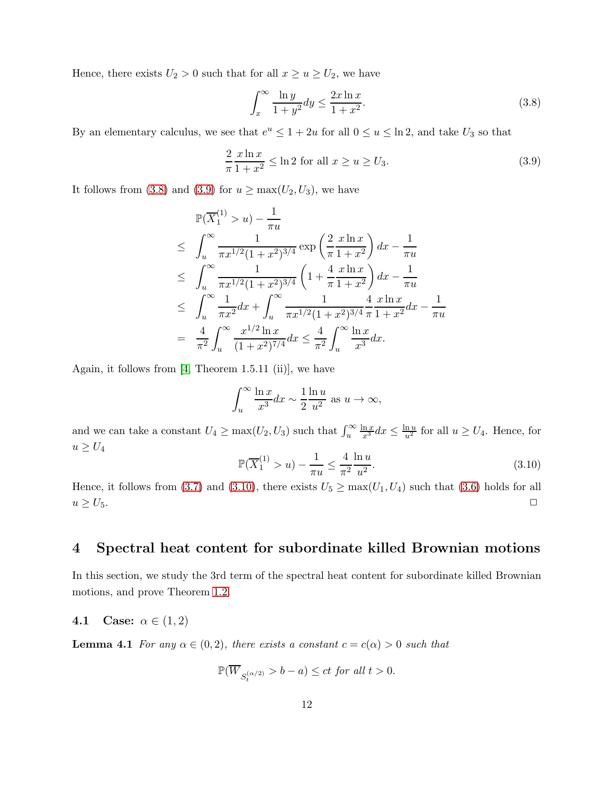Hence, there exists  $U_2 > 0$  such that for all  $x \ge u \ge U_2$ , we have

<span id="page-11-2"></span>
$$
\int_{x}^{\infty} \frac{\ln y}{1+y^2} dy \le \frac{2x \ln x}{1+x^2}.
$$
\n
$$
(3.8)
$$

By an elementary calculus, we see that  $e^u \leq 1 + 2u$  for all  $0 \leq u \leq \ln 2$ , and take  $U_3$  so that

<span id="page-11-3"></span>
$$
\frac{2}{\pi} \frac{x \ln x}{1 + x^2} \le \ln 2 \text{ for all } x \ge u \ge U_3. \tag{3.9}
$$

It follows from [\(3.8\)](#page-11-2) and [\(3.9\)](#page-11-3) for  $u \ge \max(U_2, U_3)$ , we have

$$
\mathbb{P}(\overline{X}_1^{(1)} > u) - \frac{1}{\pi u}
$$
\n
$$
\leq \int_u^\infty \frac{1}{\pi x^{1/2} (1+x^2)^{3/4}} \exp\left(\frac{2}{\pi} \frac{x \ln x}{1+x^2}\right) dx - \frac{1}{\pi u}
$$
\n
$$
\leq \int_u^\infty \frac{1}{\pi x^{1/2} (1+x^2)^{3/4}} \left(1 + \frac{4}{\pi} \frac{x \ln x}{1+x^2}\right) dx - \frac{1}{\pi u}
$$
\n
$$
\leq \int_u^\infty \frac{1}{\pi x^2} dx + \int_u^\infty \frac{1}{\pi x^{1/2} (1+x^2)^{3/4}} \frac{4}{\pi} \frac{x \ln x}{1+x^2} dx - \frac{1}{\pi u}
$$
\n
$$
= \frac{4}{\pi^2} \int_u^\infty \frac{x^{1/2} \ln x}{(1+x^2)^{7/4}} dx \leq \frac{4}{\pi^2} \int_u^\infty \frac{\ln x}{x^3} dx.
$$

Again, it follows from  $[4,$  Theorem 1.5.11 (ii)], we have

$$
\int_{u}^{\infty} \frac{\ln x}{x^3} dx \sim \frac{1}{2} \frac{\ln u}{u^2}
$$
 as  $u \to \infty$ ,

and we can take a constant  $U_4 \ge \max(U_2, U_3)$  such that  $\int_u^\infty$  $\frac{\ln x}{x^3} dx \le \frac{\ln u}{u^2}$  for all  $u \ge U_4$ . Hence, for  $u \geq U_4$ 

<span id="page-11-4"></span>
$$
\mathbb{P}(\overline{X}_1^{(1)} > u) - \frac{1}{\pi u} \le \frac{4}{\pi^2} \frac{\ln u}{u^2}.
$$
\n(3.10)

Hence, it follows from [\(3.7\)](#page-10-0) and [\(3.10\)](#page-11-4), there exists  $U_5 \ge \max(U_1, U_4)$  such that [\(3.6\)](#page-10-1) holds for all  $u \geq U_5.$ 

# <span id="page-11-0"></span>4 Spectral heat content for subordinate killed Brownian motions

In this section, we study the 3rd term of the spectral heat content for subordinate killed Brownian motions, and prove Theorem [1.2.](#page-1-1)

### <span id="page-11-5"></span><span id="page-11-1"></span>4.1 Case:  $\alpha \in (1, 2)$

**Lemma 4.1** For any  $\alpha \in (0, 2)$ , there exists a constant  $c = c(\alpha) > 0$  such that

$$
\mathbb{P}(\overline{W}_{S^{(\alpha/2)}_t}>b-a)\le ct \textit{ for all } t>0.
$$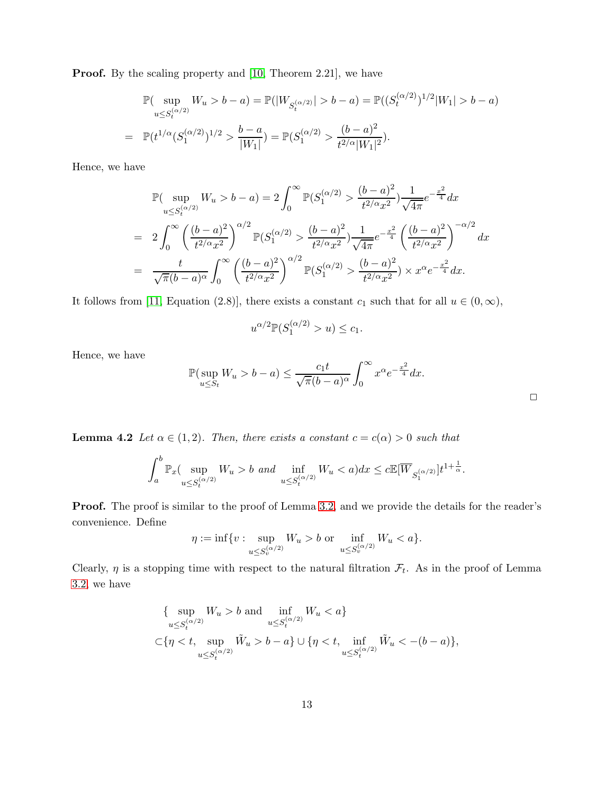Proof. By the scaling property and [10, Theorem 2.21], we have

$$
\mathbb{P}(\sup_{u \le S_t^{(\alpha/2)}} W_u > b - a) = \mathbb{P}(|W_{S_t^{(\alpha/2)}}| > b - a) = \mathbb{P}((S_t^{(\alpha/2)})^{1/2}|W_1| > b - a)
$$
  
= 
$$
\mathbb{P}(t^{1/\alpha}(S_1^{(\alpha/2)})^{1/2} > \frac{b - a}{|W_1|}) = \mathbb{P}(S_1^{(\alpha/2)} > \frac{(b - a)^2}{t^{2/\alpha}|W_1|^2}).
$$

Hence, we have

$$
\mathbb{P}(\sup_{u \le S_t^{(\alpha/2)}} W_u > b - a) = 2 \int_0^\infty \mathbb{P}(S_1^{(\alpha/2)} > \frac{(b-a)^2}{t^{2/\alpha} x^2}) \frac{1}{\sqrt{4\pi}} e^{-\frac{x^2}{4}} dx
$$
  
\n
$$
= 2 \int_0^\infty \left(\frac{(b-a)^2}{t^{2/\alpha} x^2}\right)^{\alpha/2} \mathbb{P}(S_1^{(\alpha/2)} > \frac{(b-a)^2}{t^{2/\alpha} x^2}) \frac{1}{\sqrt{4\pi}} e^{-\frac{x^2}{4}} \left(\frac{(b-a)^2}{t^{2/\alpha} x^2}\right)^{-\alpha/2} dx
$$
  
\n
$$
= \frac{t}{\sqrt{\pi}(b-a)^\alpha} \int_0^\infty \left(\frac{(b-a)^2}{t^{2/\alpha} x^2}\right)^{\alpha/2} \mathbb{P}(S_1^{(\alpha/2)} > \frac{(b-a)^2}{t^{2/\alpha} x^2}) \times x^\alpha e^{-\frac{x^2}{4}} dx.
$$

It follows from [\[11,](#page-20-0) Equation (2.8)], there exists a constant  $c_1$  such that for all  $u \in (0,\infty)$ ,

$$
u^{\alpha/2} \mathbb{P}(S_1^{(\alpha/2)} > u) \le c_1.
$$

Hence, we have

$$
\mathbb{P}(\sup_{u \le S_t} W_u > b - a) \le \frac{c_1 t}{\sqrt{\pi (b - a)^{\alpha}}} \int_0^{\infty} x^{\alpha} e^{-\frac{x^2}{4}} dx.
$$

<span id="page-12-0"></span>**Lemma 4.2** Let  $\alpha \in (1,2)$ . Then, there exists a constant  $c = c(\alpha) > 0$  such that

$$
\int_a^b \mathbb{P}_x(\sup_{u \le S_t^{(\alpha/2)}} W_u > b \text{ and } \inf_{u \le S_t^{(\alpha/2)}} W_u < a) dx \le c \mathbb{E}[\overline{W}_{S_1^{(\alpha/2)}}]t^{1+\frac{1}{\alpha}}.
$$

Proof. The proof is similar to the proof of Lemma [3.2,](#page-7-1) and we provide the details for the reader's convenience. Define

$$
\eta := \inf \{ v : \sup_{u \le S_v^{(\alpha/2)}} W_u > b \text{ or } \inf_{u \le S_v^{(\alpha/2)}} W_u < a \}.
$$

Clearly,  $\eta$  is a stopping time with respect to the natural filtration  $\mathcal{F}_t$ . As in the proof of Lemma [3.2,](#page-7-1) we have

{ sup 
$$
W_u > b
$$
 and  $\inf_{u \leq S_t^{(\alpha/2)}} W_u < a$ }  
\n $\subset \{\eta < t, \sup_{u \leq S_t^{(\alpha/2)}} \tilde{W}_u > b - a\} \cup \{\eta < t, \inf_{u \leq S_t^{(\alpha/2)}} \tilde{W}_u < -(b - a)\},\$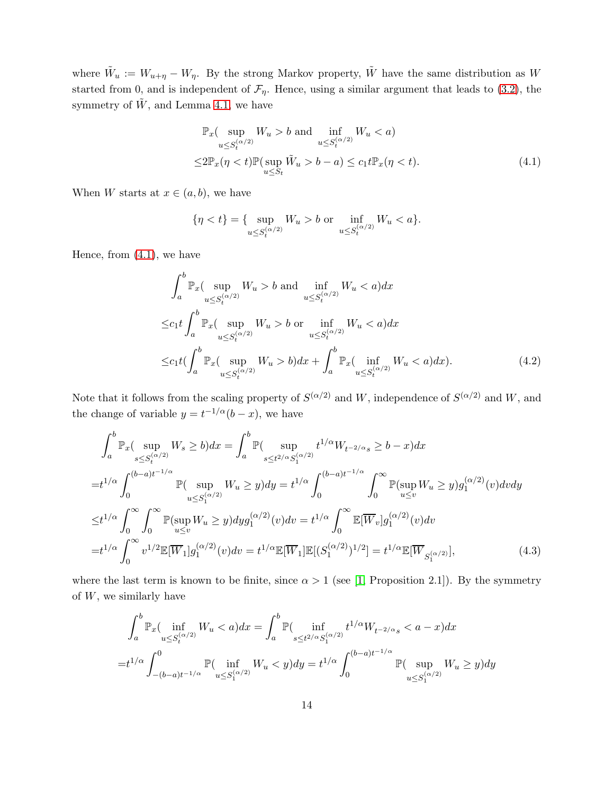where  $\tilde{W}_u := W_{u+\eta} - W_{\eta}$ . By the strong Markov property,  $\tilde{W}$  have the same distribution as W started from 0, and is independent of  $\mathcal{F}_{\eta}$ . Hence, using a similar argument that leads to [\(3.2\)](#page-7-0), the symmetry of  $\tilde{W}$ , and Lemma [4.1,](#page-11-5) we have

<span id="page-13-0"></span>
$$
\mathbb{P}_x(\sup_{u \le S_t^{(\alpha/2)}} W_u > b \text{ and } \inf_{u \le S_t^{(\alpha/2)}} W_u < a)
$$
  

$$
\le 2\mathbb{P}_x(\eta < t)\mathbb{P}(\sup_{u \le S_t} \tilde{W}_u > b - a) \le c_1 t \mathbb{P}_x(\eta < t). \tag{4.1}
$$

When W starts at  $x \in (a, b)$ , we have

<span id="page-13-1"></span>
$$
\{\eta < t\} = \{ \sup_{u \le S_t^{(\alpha/2)}} W_u > b \text{ or } \inf_{u \le S_t^{(\alpha/2)}} W_u < a \}.
$$

Hence, from [\(4.1\)](#page-13-0), we have

$$
\int_{a}^{b} \mathbb{P}_{x}(\sup_{u \leq S_{t}^{(\alpha/2)}} W_{u} > b \text{ and } \inf_{u \leq S_{t}^{(\alpha/2)}} W_{u} < a) dx
$$
  
\n
$$
\leq c_{1} t \int_{a}^{b} \mathbb{P}_{x}(\sup_{u \leq S_{t}^{(\alpha/2)}} W_{u} > b \text{ or } \inf_{u \leq S_{t}^{(\alpha/2)}} W_{u} < a) dx
$$
  
\n
$$
\leq c_{1} t \left( \int_{a}^{b} \mathbb{P}_{x}(\sup_{u \leq S_{t}^{(\alpha/2)}} W_{u} > b) dx + \int_{a}^{b} \mathbb{P}_{x}(\inf_{u \leq S_{t}^{(\alpha/2)}} W_{u} < a) dx \right).
$$
\n(4.2)

Note that it follows from the scaling property of  $S^{(\alpha/2)}$  and W, independence of  $S^{(\alpha/2)}$  and W, and the change of variable  $y = t^{-1/\alpha} (b - x)$ , we have

$$
\int_{a}^{b} \mathbb{P}_{x}(\sup_{s\leq S_{t}^{(\alpha/2)}} W_{s} \geq b) dx = \int_{a}^{b} \mathbb{P}(\sup_{s\leq t^{2/\alpha} S_{1}^{(\alpha/2)}} t^{1/\alpha} W_{t^{-2/\alpha}s} \geq b - x) dx
$$
  
\n
$$
= t^{1/\alpha} \int_{0}^{(b-a)t^{-1/\alpha}} \mathbb{P}(\sup_{u\leq S_{1}^{(\alpha/2)}} W_{u} \geq y) dy = t^{1/\alpha} \int_{0}^{(b-a)t^{-1/\alpha}} \int_{0}^{\infty} \mathbb{P}(\sup_{u\leq v} W_{u} \geq y) g_{1}^{(\alpha/2)}(v) dv dy
$$
  
\n
$$
\leq t^{1/\alpha} \int_{0}^{\infty} \int_{0}^{\infty} \mathbb{P}(\sup_{u\leq v} W_{u} \geq y) dy g_{1}^{(\alpha/2)}(v) dv = t^{1/\alpha} \int_{0}^{\infty} \mathbb{E}[\overline{W}_{v}] g_{1}^{(\alpha/2)}(v) dv
$$
  
\n
$$
= t^{1/\alpha} \int_{0}^{\infty} v^{1/2} \mathbb{E}[\overline{W}_{1}] g_{1}^{(\alpha/2)}(v) dv = t^{1/\alpha} \mathbb{E}[\overline{W}_{1}] \mathbb{E}[(S_{1}^{(\alpha/2)})^{1/2}] = t^{1/\alpha} \mathbb{E}[\overline{W}_{S_{1}^{(\alpha/2)}}], \tag{4.3}
$$

where the last term is known to be finite, since  $\alpha > 1$  (see [\[1,](#page-19-0) Proposition 2.1]). By the symmetry of  $W$ , we similarly have

<span id="page-13-2"></span>
$$
\int_{a}^{b} \mathbb{P}_{x}(\inf_{u \le S_{t}^{(\alpha/2)}} W_{u} < a) dx = \int_{a}^{b} \mathbb{P}(\inf_{s \le t^{2/\alpha} S_{1}^{(\alpha/2)}} t^{1/\alpha} W_{t^{-2/\alpha}s} < a - x) dx
$$
\n
$$
= t^{1/\alpha} \int_{-(b-a)t^{-1/\alpha}}^{0} \mathbb{P}(\inf_{u \le S_{1}^{(\alpha/2)}} W_{u} < y) dy = t^{1/\alpha} \int_{0}^{(b-a)t^{-1/\alpha}} \mathbb{P}(\sup_{u \le S_{1}^{(\alpha/2)}} W_{u} \ge y) dy
$$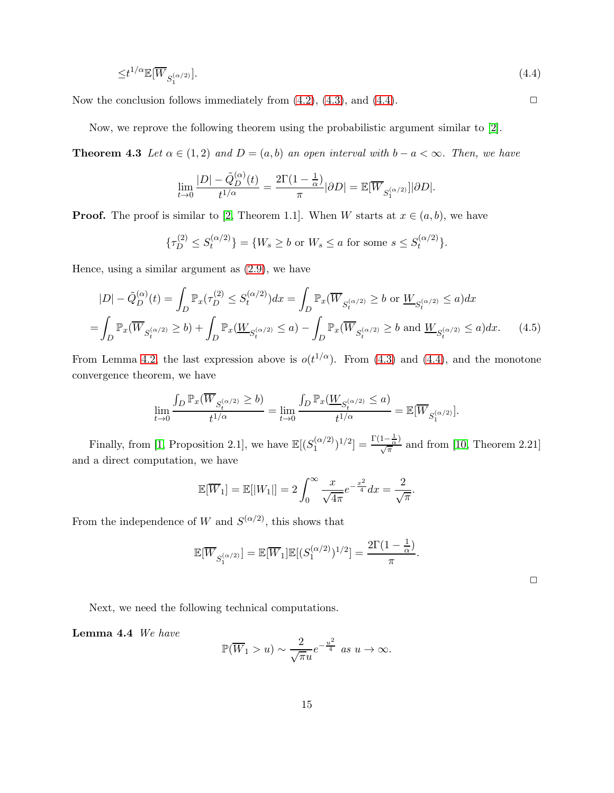$$
\leq t^{1/\alpha} \mathbb{E}[\overline{W}_{S_1^{(\alpha/2)}}].\tag{4.4}
$$

Now the conclusion follows immediately from  $(4.2)$ ,  $(4.3)$ , and  $(4.4)$ .

Now, we reprove the following theorem using the probabilistic argument similar to [\[2\]](#page-19-1).

**Theorem 4.3** Let  $\alpha \in (1,2)$  and  $D = (a, b)$  an open interval with  $b - a < \infty$ . Then, we have

<span id="page-14-1"></span><span id="page-14-0"></span>
$$
\lim_{t \to 0} \frac{|D| - \tilde{Q}_D^{(\alpha)}(t)}{t^{1/\alpha}} = \frac{2\Gamma(1 - \frac{1}{\alpha})}{\pi} |\partial D| = \mathbb{E}[\overline{W}_{S_1^{(\alpha/2)}}] |\partial D|.
$$

**Proof.** The proof is similar to [\[2,](#page-19-1) Theorem 1.1]. When W starts at  $x \in (a, b)$ , we have

$$
\{\tau_D^{(2)} \le S_t^{(\alpha/2)}\} = \{W_s \ge b \text{ or } W_s \le a \text{ for some } s \le S_t^{(\alpha/2)}\}.
$$

Hence, using a similar argument as [\(2.9\)](#page-6-3), we have

$$
|D| - \tilde{Q}_D^{(\alpha)}(t) = \int_D \mathbb{P}_x(\tau_D^{(2)} \le S_t^{(\alpha/2)}) dx = \int_D \mathbb{P}_x(\overline{W}_{S_t^{(\alpha/2)}} \ge b \text{ or } \underline{W}_{S_t^{(\alpha/2)}} \le a) dx
$$
  
= 
$$
\int_D \mathbb{P}_x(\overline{W}_{S_t^{(\alpha/2)}} \ge b) + \int_D \mathbb{P}_x(\underline{W}_{S_t^{(\alpha/2)}} \le a) - \int_D \mathbb{P}_x(\overline{W}_{S_t^{(\alpha/2)}} \ge b \text{ and } \underline{W}_{S_t^{(\alpha/2)}} \le a) dx.
$$
 (4.5)

From Lemma [4.2,](#page-12-0) the last expression above is  $o(t^{1/\alpha})$ . From [\(4.3\)](#page-13-2) and [\(4.4\)](#page-14-1), and the monotone convergence theorem, we have

$$
\lim_{t \to 0} \frac{\int_D \mathbb{P}_x(\overline{W}_{S_t^{(\alpha/2)}} \ge b)}{t^{1/\alpha}} = \lim_{t \to 0} \frac{\int_D \mathbb{P}_x(\underline{W}_{S_t^{(\alpha/2)}} \le a)}{t^{1/\alpha}} = \mathbb{E}[\overline{W}_{S_1^{(\alpha/2)}}].
$$

Finally, from [\[1,](#page-19-0) Proposition 2.1], we have  $\mathbb{E}[(S_1^{(\alpha/2)})]$  $\binom{(\alpha/2)}{1}$ <sup>1</sup>/2] =  $\frac{\Gamma(1-\frac{1}{\alpha})}{\sqrt{\pi}}$  and from [10, Theorem 2.21] and a direct computation, we have

$$
\mathbb{E}[\overline{W}_1] = \mathbb{E}[|W_1|] = 2 \int_0^\infty \frac{x}{\sqrt{4\pi}} e^{-\frac{x^2}{4}} dx = \frac{2}{\sqrt{\pi}}.
$$

From the independence of W and  $S^{(\alpha/2)}$ , this shows that

$$
\mathbb{E}[\overline{W}_{S_1^{(\alpha/2)}}] = \mathbb{E}[\overline{W}_1]\mathbb{E}[(S_1^{(\alpha/2)})^{1/2}] = \frac{2\Gamma(1-\frac{1}{\alpha})}{\pi}.
$$

<span id="page-14-3"></span>

Next, we need the following technical computations.

Lemma 4.4 We have

<span id="page-14-2"></span>
$$
\mathbb{P}(\overline{W}_1 > u) \sim \frac{2}{\sqrt{\pi}u} e^{-\frac{u^2}{4}} \text{ as } u \to \infty.
$$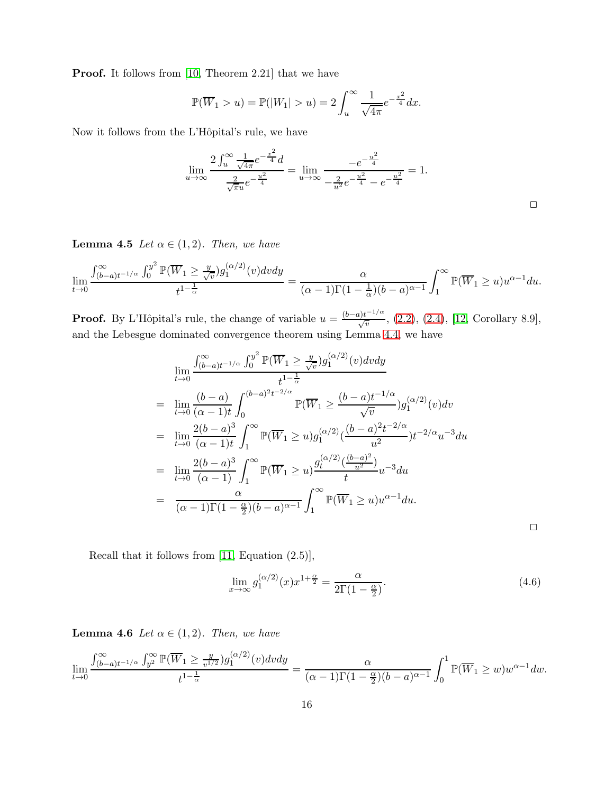Proof. It follows from [10, Theorem 2.21] that we have

$$
\mathbb{P}(\overline{W}_1 > u) = \mathbb{P}(|W_1| > u) = 2 \int_u^{\infty} \frac{1}{\sqrt{4\pi}} e^{-\frac{x^2}{4}} dx.
$$

Now it follows from the L'Hôpital's rule, we have

$$
\lim_{u \to \infty} \frac{2 \int_u^{\infty} \frac{1}{\sqrt{4\pi}} e^{-\frac{x^2}{4}} d}{\frac{2}{\sqrt{\pi}u} e^{-\frac{u^2}{4}}} = \lim_{u \to \infty} \frac{-e^{-\frac{u^2}{4}}}{-\frac{2}{u^2} e^{-\frac{u^2}{4}}} - e^{-\frac{u^2}{4}} = 1.
$$

<span id="page-15-1"></span>**Lemma 4.5** Let  $\alpha \in (1, 2)$ . Then, we have

$$
\lim_{t \to 0} \frac{\int_{(b-a)t^{-1/\alpha}}^{\infty} \int_{0}^{y^{2}} \mathbb{P}(\overline{W}_{1} \geq \frac{y}{\sqrt{v}}) g_{1}^{(\alpha/2)}(v) dv dy}{t^{1-\frac{1}{\alpha}}} = \frac{\alpha}{(\alpha-1)\Gamma(1-\frac{1}{\alpha})(b-a)^{\alpha-1}} \int_{1}^{\infty} \mathbb{P}(\overline{W}_{1} \geq u) u^{\alpha-1} du.
$$

**Proof.** By L'Hôpital's rule, the change of variable  $u = \frac{(b-a)t^{-1/\alpha}}{\sqrt{v}}$ , [\(2.2\)](#page-3-2), [\(2.4\)](#page-3-3), [\[12,](#page-20-1) Corollary 8.9], and the Lebesgue dominated convergence theorem using Lemma [4.4,](#page-14-2) we have

$$
\lim_{t \to 0} \frac{\int_{(b-a)t^{-1/\alpha}}^{\infty} \int_{0}^{y^{2}} \mathbb{P}(\overline{W}_{1} \geq \frac{y}{\sqrt{v}}) g_{1}^{(\alpha/2)}(v) dv dy}{t^{1-\frac{1}{\alpha}}}
$$
\n
$$
= \lim_{t \to 0} \frac{(b-a)}{(\alpha-1)t} \int_{0}^{(b-a)^{2}t^{-2/\alpha}} \mathbb{P}(\overline{W}_{1} \geq \frac{(b-a)t^{-1/\alpha}}{\sqrt{v}}) g_{1}^{(\alpha/2)}(v) dv
$$
\n
$$
= \lim_{t \to 0} \frac{2(b-a)^{3}}{(\alpha-1)t} \int_{1}^{\infty} \mathbb{P}(\overline{W}_{1} \geq u) g_{1}^{(\alpha/2)}(\frac{(b-a)^{2}t^{-2/\alpha}}{u^{2}}) t^{-2/\alpha} u^{-3} du
$$
\n
$$
= \lim_{t \to 0} \frac{2(b-a)^{3}}{(\alpha-1)} \int_{1}^{\infty} \mathbb{P}(\overline{W}_{1} \geq u) \frac{g_{t}^{(\alpha/2)}(\frac{(b-a)^{2}}{u^{2}})}{t} u^{-3} du
$$
\n
$$
= \frac{\alpha}{(\alpha-1)\Gamma(1-\frac{\alpha}{2})(b-a)^{\alpha-1}} \int_{1}^{\infty} \mathbb{P}(\overline{W}_{1} \geq u) u^{\alpha-1} du.
$$

Recall that it follows from [\[11,](#page-20-0) Equation (2.5)],

<span id="page-15-0"></span>
$$
\lim_{x \to \infty} g_1^{(\alpha/2)}(x) x^{1 + \frac{\alpha}{2}} = \frac{\alpha}{2\Gamma(1 - \frac{\alpha}{2})}.
$$
\n(4.6)

<span id="page-15-2"></span>**Lemma 4.6** Let  $\alpha \in (1, 2)$ . Then, we have

$$
\lim_{t \to 0} \frac{\int_{(b-a)t^{-1/\alpha}}^{\infty} \int_{y^2}^{\infty} \mathbb{P}(\overline{W}_1 \ge \frac{y}{v^{1/2}}) g_1^{(\alpha/2)}(v) dv dy}{t^{1-\frac{1}{\alpha}}} = \frac{\alpha}{(\alpha-1)\Gamma(1-\frac{\alpha}{2})(b-a)^{\alpha-1}} \int_0^1 \mathbb{P}(\overline{W}_1 \ge w) w^{\alpha-1} dw.
$$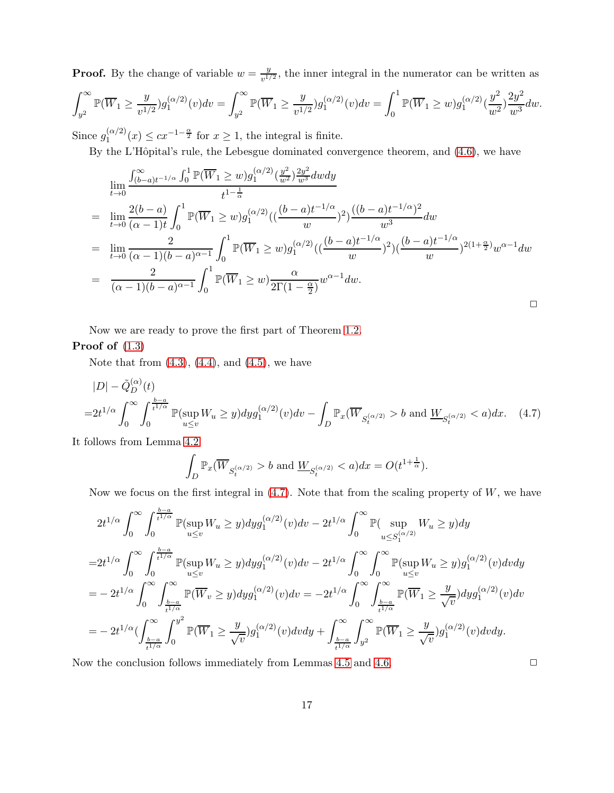**Proof.** By the change of variable  $w = \frac{y}{y+1}$  $\frac{y}{v^{1/2}}$ , the inner integral in the numerator can be written as

$$
\int_{y^2}^{\infty} \mathbb{P}(\overline{W}_1 \ge \frac{y}{v^{1/2}}) g_1^{(\alpha/2)}(v) dv = \int_{y^2}^{\infty} \mathbb{P}(\overline{W}_1 \ge \frac{y}{v^{1/2}}) g_1^{(\alpha/2)}(v) dv = \int_0^1 \mathbb{P}(\overline{W}_1 \ge w) g_1^{(\alpha/2)}(\frac{y^2}{w^2}) \frac{2y^2}{w^3} dw.
$$

Since  $g_1^{(\alpha/2)}$  $\binom{(\alpha/2)}{1}(x) \leq cx^{-1-\frac{\alpha}{2}}$  for  $x \geq 1$ , the integral is finite.

By the L'Hôpital's rule, the Lebesgue dominated convergence theorem, and  $(4.6)$ , we have

$$
\lim_{t \to 0} \frac{\int_{(b-a)t^{-1/\alpha}}^{\infty} \int_{0}^{1} \mathbb{P}(\overline{W}_{1} \ge w) g_{1}^{(\alpha/2)}(\frac{y^{2}}{w^{2}}) \frac{2y^{2}}{w^{3}} dw dy}{t^{1-\frac{1}{\alpha}}}
$$
\n
$$
= \lim_{t \to 0} \frac{2(b-a)}{(\alpha - 1)t} \int_{0}^{1} \mathbb{P}(\overline{W}_{1} \ge w) g_{1}^{(\alpha/2)}((\frac{(b-a)t^{-1/\alpha}}{w})^{2}) \frac{((b-a)t^{-1/\alpha})^{2}}{w^{3}} dw
$$
\n
$$
= \lim_{t \to 0} \frac{2}{(\alpha - 1)(b-a)^{\alpha - 1}} \int_{0}^{1} \mathbb{P}(\overline{W}_{1} \ge w) g_{1}^{(\alpha/2)}((\frac{(b-a)t^{-1/\alpha}}{w})^{2})(\frac{(b-a)t^{-1/\alpha}}{w})^{2(1+\frac{\alpha}{2})} w^{\alpha - 1} dw
$$
\n
$$
= \frac{2}{(\alpha - 1)(b-a)^{\alpha - 1}} \int_{0}^{1} \mathbb{P}(\overline{W}_{1} \ge w) \frac{\alpha}{2\Gamma(1-\frac{\alpha}{2})} w^{\alpha - 1} dw.
$$

Now we are ready to prove the first part of Theorem [1.2.](#page-1-1)

# Proof of  $(1.3)$

Note that from  $(4.3)$ ,  $(4.4)$ , and  $(4.5)$ , we have

$$
|D| - \tilde{Q}_D^{(\alpha)}(t)
$$
  
=  $2t^{1/\alpha} \int_0^\infty \int_0^{\frac{b-a}{t^{1/\alpha}}} \mathbb{P}(\sup_{u \le v} W_u \ge y) dy g_1^{(\alpha/2)}(v) dv - \int_D \mathbb{P}_x(\overline{W}_{S_t^{(\alpha/2)}} > b \text{ and } \underline{W}_{S_t^{(\alpha/2)}} < a) dx.$  (4.7)

It follows from Lemma [4.2](#page-12-0)

$$
\int_D \mathbb{P}_x(\overline{W}_{S_t^{(\alpha/2)}} > b \text{ and } \underline{W}_{S_t^{(\alpha/2)}} < a) dx = O(t^{1+\frac{1}{\alpha}}).
$$

Now we focus on the first integral in  $(4.7)$ . Note that from the scaling property of W, we have

$$
2t^{1/\alpha} \int_0^\infty \int_0^{\frac{b-a}{t^{1/\alpha}}} \mathbb{P}(\sup_{u \le v} W_u \ge y) dy g_1^{(\alpha/2)}(v) dv - 2t^{1/\alpha} \int_0^\infty \mathbb{P}(\sup_{u \le S_1^{(\alpha/2)}} W_u \ge y) dy
$$
  
\n
$$
= 2t^{1/\alpha} \int_0^\infty \int_0^{\frac{b-a}{t^{1/\alpha}}} \mathbb{P}(\sup_{u \le v} W_u \ge y) dy g_1^{(\alpha/2)}(v) dv - 2t^{1/\alpha} \int_0^\infty \int_0^\infty \mathbb{P}(\sup_{u \le v} W_u \ge y) g_1^{(\alpha/2)}(v) dv dy
$$
  
\n
$$
= - 2t^{1/\alpha} \int_0^\infty \int_{\frac{b-a}{t^{1/\alpha}}}^\infty \mathbb{P}(\overline{W}_v \ge y) dy g_1^{(\alpha/2)}(v) dv = -2t^{1/\alpha} \int_0^\infty \int_{\frac{b-a}{t^{1/\alpha}}}^\infty \mathbb{P}(\overline{W}_1 \ge \frac{y}{\sqrt{v}}) dy g_1^{(\alpha/2)}(v) dv
$$
  
\n
$$
= - 2t^{1/\alpha} \Big( \int_{\frac{b-a}{t^{1/\alpha}}}^\infty \int_0^{y^2} \mathbb{P}(\overline{W}_1 \ge \frac{y}{\sqrt{v}}) g_1^{(\alpha/2)}(v) dv dy + \int_{\frac{b-a}{t^{1/\alpha}}}^\infty \int_{y^2}^\infty \mathbb{P}(\overline{W}_1 \ge \frac{y}{\sqrt{v}}) g_1^{(\alpha/2)}(v) dv dy.
$$

Now the conclusion follows immediately from Lemmas [4.5](#page-15-1) and [4.6.](#page-15-2)  $\Box$ 

<span id="page-16-0"></span>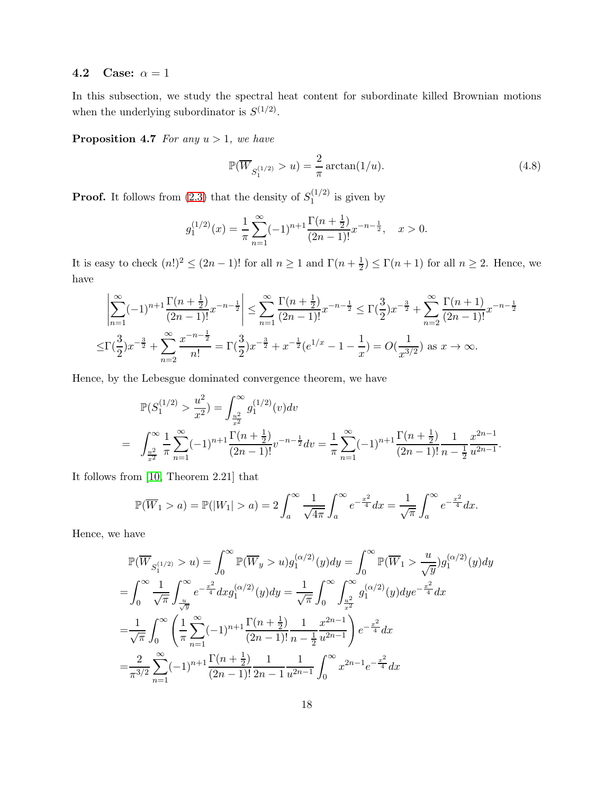### <span id="page-17-1"></span>4.2 Case:  $\alpha = 1$

<span id="page-17-0"></span>In this subsection, we study the spectral heat content for subordinate killed Brownian motions when the underlying subordinator is  $S^{(1/2)}$ .

**Proposition 4.7** For any  $u > 1$ , we have

<span id="page-17-2"></span>
$$
\mathbb{P}(\overline{W}_{S_1^{(1/2)}} > u) = \frac{2}{\pi} \arctan(1/u).
$$
 (4.8)

**Proof.** It follows from [\(2.3\)](#page-3-4) that the density of  $S_1^{(1/2)}$  $j_1^{(1/2)}$  is given by

$$
g_1^{(1/2)}(x) = \frac{1}{\pi} \sum_{n=1}^{\infty} (-1)^{n+1} \frac{\Gamma(n + \frac{1}{2})}{(2n-1)!} x^{-n - \frac{1}{2}}, \quad x > 0.
$$

It is easy to check  $(n!)^2 \le (2n-1)!$  for all  $n \ge 1$  and  $\Gamma\left(n+\frac{1}{2}\right)$  $(\frac{1}{2}) \leq \Gamma(n+1)$  for all  $n \geq 2$ . Hence, we have

$$
\left| \sum_{n=1}^{\infty} (-1)^{n+1} \frac{\Gamma(n + \frac{1}{2})}{(2n-1)!} x^{-n - \frac{1}{2}} \right| \le \sum_{n=1}^{\infty} \frac{\Gamma(n + \frac{1}{2})}{(2n-1)!} x^{-n - \frac{1}{2}} \le \Gamma(\frac{3}{2}) x^{-\frac{3}{2}} + \sum_{n=2}^{\infty} \frac{\Gamma(n + 1)}{(2n-1)!} x^{-n - \frac{1}{2}}
$$

$$
\le \Gamma(\frac{3}{2}) x^{-\frac{3}{2}} + \sum_{n=2}^{\infty} \frac{x^{-n - \frac{1}{2}}}{n!} = \Gamma(\frac{3}{2}) x^{-\frac{3}{2}} + x^{-\frac{1}{2}} (e^{1/x} - 1 - \frac{1}{x}) = O(\frac{1}{x^{3/2}}) \text{ as } x \to \infty.
$$

Hence, by the Lebesgue dominated convergence theorem, we have

$$
\mathbb{P}(S_1^{(1/2)} > \frac{u^2}{x^2}) = \int_{\frac{u^2}{x^2}}^{\infty} g_1^{(1/2)}(v) dv
$$
  
= 
$$
\int_{\frac{u^2}{x^2}}^{\infty} \frac{1}{\pi} \sum_{n=1}^{\infty} (-1)^{n+1} \frac{\Gamma(n+\frac{1}{2})}{(2n-1)!} v^{-n-\frac{1}{2}} dv = \frac{1}{\pi} \sum_{n=1}^{\infty} (-1)^{n+1} \frac{\Gamma(n+\frac{1}{2})}{(2n-1)!} \frac{1}{n-\frac{1}{2}} \frac{x^{2n-1}}{u^{2n-1}}.
$$

It follows from [10, Theorem 2.21] that

$$
\mathbb{P}(\overline{W}_1 > a) = \mathbb{P}(|W_1| > a) = 2 \int_a^{\infty} \frac{1}{\sqrt{4\pi}} \int_a^{\infty} e^{-\frac{x^2}{4}} dx = \frac{1}{\sqrt{\pi}} \int_a^{\infty} e^{-\frac{x^2}{4}} dx.
$$

Hence, we have

$$
\mathbb{P}(\overline{W}_{S_1^{(1/2)}} > u) = \int_0^\infty \mathbb{P}(\overline{W}_y > u) g_1^{(\alpha/2)}(y) dy = \int_0^\infty \mathbb{P}(\overline{W}_1 > \frac{u}{\sqrt{y}}) g_1^{(\alpha/2)}(y) dy
$$
  
\n
$$
= \int_0^\infty \frac{1}{\sqrt{\pi}} \int_{\frac{u}{\sqrt{y}}}^\infty e^{-\frac{x^2}{4}} dx g_1^{(\alpha/2)}(y) dy = \frac{1}{\sqrt{\pi}} \int_0^\infty \int_{\frac{u^2}{x^2}}^\infty g_1^{(\alpha/2)}(y) dy e^{-\frac{x^2}{4}} dx
$$
  
\n
$$
= \frac{1}{\sqrt{\pi}} \int_0^\infty \left( \frac{1}{\pi} \sum_{n=1}^\infty (-1)^{n+1} \frac{\Gamma(n + \frac{1}{2})}{(2n - 1)!} \frac{1}{n - \frac{1}{2}} \frac{x^{2n - 1}}{u^{2n - 1}} \right) e^{-\frac{x^2}{4}} dx
$$
  
\n
$$
= \frac{2}{\pi^{3/2}} \sum_{n=1}^\infty (-1)^{n+1} \frac{\Gamma(n + \frac{1}{2})}{(2n - 1)!} \frac{1}{2n - 1} \frac{1}{u^{2n - 1}} \int_0^\infty x^{2n - 1} e^{-\frac{x^2}{4}} dx
$$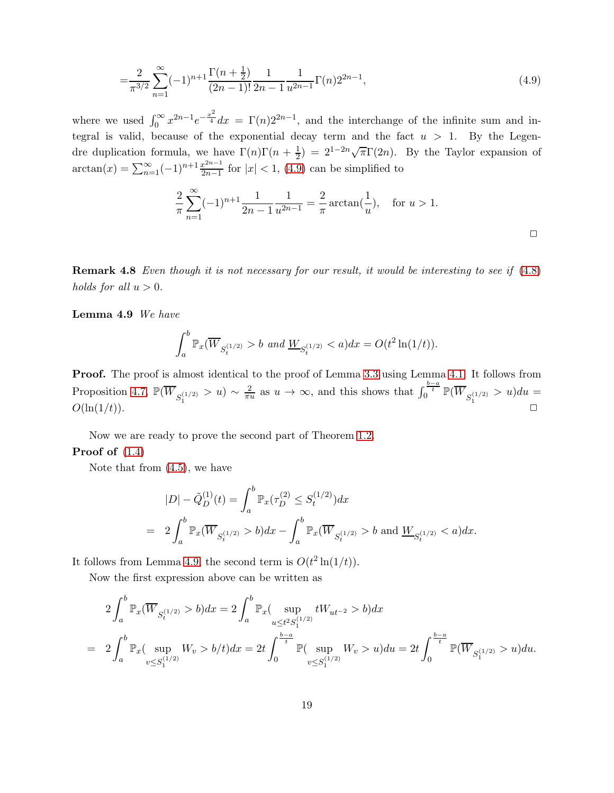$$
=\frac{2}{\pi^{3/2}}\sum_{n=1}^{\infty}(-1)^{n+1}\frac{\Gamma(n+\frac{1}{2})}{(2n-1)!}\frac{1}{2n-1}\frac{1}{u^{2n-1}}\Gamma(n)2^{2n-1},\tag{4.9}
$$

where we used  $\int_0^\infty x^{2n-1} e^{-\frac{x^2}{4}} dx = \Gamma(n) 2^{2n-1}$ , and the interchange of the infinite sum and integral is valid, because of the exponential decay term and the fact  $u > 1$ . By the Legendre duplication formula, we have  $\Gamma(n)\Gamma(n+\frac{1}{2})$  $(\frac{1}{2}) = 2^{1-2n}\sqrt{\pi}\Gamma(2n)$ . By the Taylor expansion of  $\arctan(x) = \sum_{n=1}^{\infty} (-1)^{n+1} \frac{x^{2n-1}}{2n-1}$  $\frac{x^{2n-1}}{2n-1}$  for  $|x| < 1$ , [\(4.9\)](#page-18-0) can be simplified to

<span id="page-18-0"></span>
$$
\frac{2}{\pi} \sum_{n=1}^{\infty} (-1)^{n+1} \frac{1}{2n-1} \frac{1}{u^{2n-1}} = \frac{2}{\pi} \arctan(\frac{1}{u}), \text{ for } u > 1.
$$

**Remark 4.8** Even though it is not necessary for our result, it would be interesting to see if  $(4.8)$ holds for all  $u > 0$ .

<span id="page-18-1"></span>Lemma 4.9 We have

$$
\int_a^b \mathbb{P}_x(\overline{W}_{S_t^{(1/2)}} > b \text{ and } \underline{W}_{S_t^{(1/2)}} < a) dx = O(t^2 \ln(1/t)).
$$

Proof. The proof is almost identical to the proof of Lemma [3.3](#page-9-1) using Lemma [4.1.](#page-11-5) It follows from Proposition [4.7,](#page-17-0)  $\mathbb{P}(\overline{W}_{S_1^{(1/2)}} > u) \sim \frac{2}{\pi u}$  $\frac{2}{\pi u}$  as  $u \to \infty$ , and this shows that  $\int_0^{\frac{b-a}{t}} \mathbb{P}(\overline{W}_{S_1^{(1/2)}} > u) du =$  $O(\ln(1/t)).$ 

Now we are ready to prove the second part of Theorem [1.2.](#page-1-1) **Proof of**  $(1.4)$ 

Note that from [\(4.5\)](#page-14-3), we have

$$
|D| - \tilde{Q}_D^{(1)}(t) = \int_a^b \mathbb{P}_x(\tau_D^{(2)} \le S_t^{(1/2)}) dx
$$
  
=  $2 \int_a^b \mathbb{P}_x(\overline{W}_{S_t^{(1/2)}} > b) dx - \int_a^b \mathbb{P}_x(\overline{W}_{S_t^{(1/2)}} > b \text{ and } \underline{W}_{S_t^{(1/2)}} < a) dx.$ 

It follows from Lemma [4.9,](#page-18-1) the second term is  $O(t^2 \ln(1/t))$ .

Now the first expression above can be written as

$$
2\int_{a}^{b} \mathbb{P}_{x}(\overline{W}_{S_{t}^{(1/2)}} > b) dx = 2\int_{a}^{b} \mathbb{P}_{x}(\sup_{u \leq t^{2} S_{1}^{(1/2)}} tW_{ut^{-2}} > b) dx
$$
  
= 
$$
2\int_{a}^{b} \mathbb{P}_{x}(\sup_{v \leq S_{1}^{(1/2)}} W_{v} > b/t) dx = 2t \int_{0}^{\frac{b-a}{t}} \mathbb{P}(\sup_{v \leq S_{1}^{(1/2)}} W_{v} > u) du = 2t \int_{0}^{\frac{b-a}{t}} \mathbb{P}(\overline{W}_{S_{1}^{(1/2)}} > u) du.
$$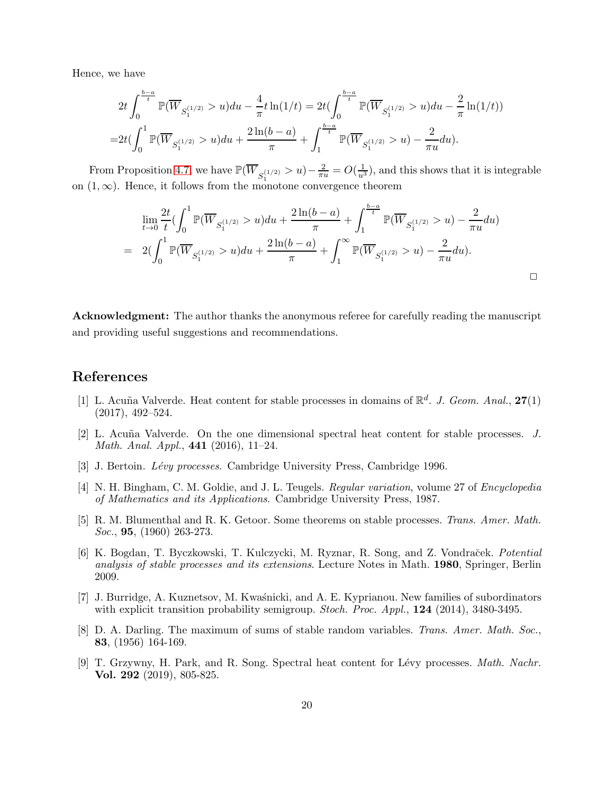Hence, we have

$$
2t\int_0^{\frac{b-a}{t}} \mathbb{P}(\overline{W}_{S_1^{(1/2)}} > u) du - \frac{4}{\pi} t \ln(1/t) = 2t \left(\int_0^{\frac{b-a}{t}} \mathbb{P}(\overline{W}_{S_1^{(1/2)}} > u) du - \frac{2}{\pi} \ln(1/t)\right)
$$
  
= 
$$
2t \left(\int_0^1 \mathbb{P}(\overline{W}_{S_1^{(1/2)}} > u) du + \frac{2 \ln(b-a)}{\pi} + \int_1^{\frac{b-a}{t}} \mathbb{P}(\overline{W}_{S_1^{(1/2)}} > u) - \frac{2}{\pi u} du\right).
$$

From Proposition [4.7,](#page-17-0) we have  $\mathbb{P}(\overline{W}_{S_1^{(1/2)}} > u) - \frac{2}{\pi u} = O(\frac{1}{u^3})$ , and this shows that it is integrable on  $(1, \infty)$ . Hence, it follows from the monotone convergence theorem

$$
\lim_{t \to 0} \frac{2t}{t} \left( \int_0^1 \mathbb{P}(\overline{W}_{S_1^{(1/2)}} > u) du + \frac{2\ln(b-a)}{\pi} + \int_1^{\frac{b-a}{t}} \mathbb{P}(\overline{W}_{S_1^{(1/2)}} > u) - \frac{2}{\pi u} du \right)
$$
\n
$$
= 2\left( \int_0^1 \mathbb{P}(\overline{W}_{S_1^{(1/2)}} > u) du + \frac{2\ln(b-a)}{\pi} + \int_1^\infty \mathbb{P}(\overline{W}_{S_1^{(1/2)}} > u) - \frac{2}{\pi u} du \right).
$$

 $\Box$ 

Acknowledgment: The author thanks the anonymous referee for carefully reading the manuscript and providing useful suggestions and recommendations.

## <span id="page-19-0"></span>References

- [1] L. Acuña Valverde. Heat content for stable processes in domains of  $\mathbb{R}^d$ . J. Geom. Anal., 27(1) (2017), 492–524.
- <span id="page-19-1"></span>[2] L. Acuña Valverde. On the one dimensional spectral heat content for stable processes.  $J$ . Math. Anal. Appl., 441 (2016), 11–24.
- <span id="page-19-7"></span><span id="page-19-6"></span>[3] J. Bertoin. *Lévy processes*. Cambridge University Press, Cambridge 1996.
- [4] N. H. Bingham, C. M. Goldie, and J. L. Teugels. Regular variation, volume 27 of Encyclopedia of Mathematics and its Applications. Cambridge University Press, 1987.
- <span id="page-19-5"></span>[5] R. M. Blumenthal and R. K. Getoor. Some theorems on stable processes. Trans. Amer. Math. Soc., **95**, (1960) 263-273.
- [6] K. Bogdan, T. Byczkowski, T. Kulczycki, M. Ryznar, R. Song, and Z. Vondraček. Potential analysis of stable processes and its extensions. Lecture Notes in Math. 1980, Springer, Berlin 2009.
- <span id="page-19-4"></span>[7] J. Burridge, A. Kuznetsov, M. Kwaśnicki, and A. E. Kyprianou. New families of subordinators with explicit transition probability semigroup. *Stoch. Proc. Appl.*, **124** (2014), 3480-3495.
- <span id="page-19-3"></span>[8] D. A. Darling. The maximum of sums of stable random variables. Trans. Amer. Math. Soc., 83, (1956) 164-169.
- <span id="page-19-2"></span>[9] T. Grzywny, H. Park, and R. Song. Spectral heat content for Lévy processes. *Math. Nachr.* Vol. 292 (2019), 805-825.